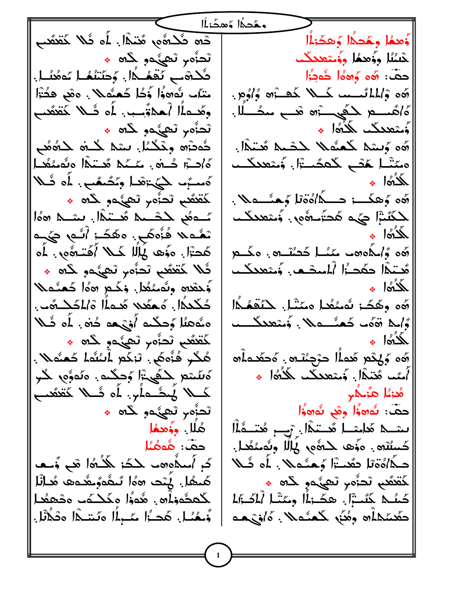وهّدما وَهدَا دُّه ثَكْمُهِ مُتَمَّا. لَم ثَلا خَقْفُب ذُهمُ وهُدِمًا وُهدَاً لْمَسُلُمْ وَوُهِمُ وَوُسْعِدِكُتْ ا تَحزُّهُم تَعيُّهُم كُلُّهُ ﴾ ثَلاةىب نَفَعُــدًا. وَحَنّتْنُعُــا مُءمُّنُــا. حقَّ: ٥٥ وَ٥٥ أَهُوبُوا حَدِيبًا متَابٍ بِثَمِهِ أَوْ ذَٰلاً خَمِيثَهِ لِا . مِنْهِ ۖ فَخُبَّا هُه وَٱلْمَانُـــب كَـــلا كَـهـــ;ه وُٱوُمِ وِهُــهلُا أَـعمْقُبــب. لَمَّ قُــلا خَتْنَفُنب أؤستعدك لمكْتُها \* تَحزُّەر تىھگەو كى \* هُهِ وَسِيْمَ لَحْمِيْهِ لِمَ حَسْمَهُ مُحْتَمَلَ خُوثَرُه وخَكْئاً. بِسْمْ لَهُــفْ لِهُهُمْ مئشَّا هَصْمِ كَعَصُّــٰٓةًا. وَعْمَعْكَــْتَ كَاهِــْ; هُــفِ. مَــَـكُمْ هُــتَـمّْا وشُمْئُهُــا ەُمىبُ خَيْ:قَط مِنْصُمُب ِ. لَمَ ثَــلا  $\frac{1}{2}$   $\frac{1}{2}$ هُه وُهكَـــز حـــكَمُاهُة مُلْــهِ مِمْـــمِــهــم كَقْفُهِ تَحَزُّمْ تَعْيَمُو كُلُّهُ \* ئے، حدشہ کے مال اور اس کے معا لْمَكْتُبْزَا حَيْءَ هُجَّتْسَعُّهِ , وَسْعِدِكْت تْعُـُمْ فُنُوكَعٍ. وَهُكَـٰزِ أَلَـٰهِ ۖ وَكَرِـٰهَ أَكْثُوا ﴾ هُدْتَا. هَوَه هَالُا لَمِلا أَقْتُمْهِ أَهْلَ هُه وُاللَّاه مَا اللَّهُ عَامَلَ مَا اللَّهُ عَامَهُ مِنْ عَلَيْهِ مِنْ مُتَمَا حَمَدُ الْمُتَدَمِّ. وُتَعْدَدُت ئَىلا كَتْفَقُعِ تَدْ:ُەر تْھِيُّدُو ݣُلُه \* فَحْقَدَه وِنُفْسُعُداً. فَكُـمْ 30\$ كَـمْشُفْلًا a lójí كَكْدُمَا. هَ هَعُدِ هُده أَلْ هُ الْمَكْلُ هُ بِ. هُه وهُكُـز نُهِمُعُط هِمَنْنَا. كَنَفْعُـدًا ەئەھلا ۇھگىم اُڧىھە خُنى. لمَه شَلا وُكْمِيا قَوْمَ حَمْسُــدْ ) . وَمْعَدِكْـــب كَقْفَعِ تَدَّوْمِ تَعِيُّدِهِ كَلَّهِ \* كأثعابه هُكُر فُنُوهَى. تَبَكُع لِّكْشُا كَعِنُه لا . ِهُه وَلِكُمْ هُداً حَرْجِئْنُـهِ . هَحَفْـداً ه كَاسُتُمْ لِلْكَيْ: أَوْحِكْتُمْ ، مَنُوبُونَ لَكُنْ أَمِّم مُتَمَّا. وُمْعِدكُ لَكُوُّا ﴾ كَـــالا ﴾مُدُّــداُم، لَمَ دُّــالا كَتَفتُعبُ هُدنُا هُنگُر حَقّ: شُهوُۥ وَهُمْ شُهوُۥ أَ تَحزُّەر تىھگەو گە \* گلل وؤهمًا حقَّ: هُوهُمْا كَسْلَاهِ . هَوُها لِمَدْهُمِ ۖ لَمَالًا ۖ وِيُمْمُعُمَلٍ. كَرِ أَسْلَاهِ مِنْ كُلُّ الْمُدَّةُ الْحُمَّةُ وَقَالَ مِنْ الْمَجَمَّةِ وَقَالِمِينَ مِنْ أَوْسَقَ كَمُاهُةَ مُلْكُمةُ أَوْهِمُكُمْلًا . لَمَا شَكَّلَ كَمِنْهَا. يَبْتَ 10\$ تُبِقُوَمُ مَثْمَدَّة مُحَالَما كَقْتُفِ تَحَزُّمَ تَعِيُّمَهِ كَاهَ \* لْكَعِثُوذِلُهِ . هُوزُا مِكْلَــمُـ وضْعِعُل كَسُكُ كَنُسْرًا. هِكْزْاً وِمِنْسًا ٱلْكَرَّاءُ دُّمْمُـٰا. هُدـُ ٰا مَـٰہِلَا ہِنْسَـٰا ہِدۡکُانَا. كمرْزَةٍ أَنْ يَا مَشْمَلًا ، كَافْ مِنْدَهِ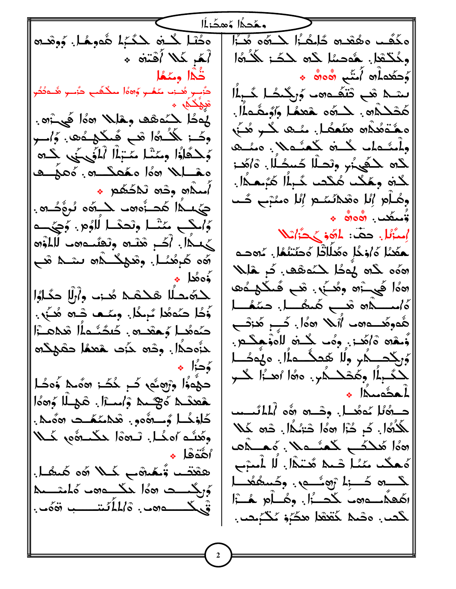| وهَجِدًا وَهِجَزَأَ                                                         |                                                               |
|-----------------------------------------------------------------------------|---------------------------------------------------------------|
| وَكُنَّا لَكُــرَهُ لِكُــرًا هُومِهْـا. وُوِقْدِهِ                         | ەڭگى ەھقىرە گامگۇا كىۋە ھُۈ                                   |
| أَهَم كَمَلاً أَقْتَةَهُ *                                                  | ومُكْتَعَلَ. حُدْدَمًا كَلَّهُ لَكَتَبَ لَكُنُّهَا            |
| خُمَّا وسَمَّا                                                              | $\rightarrow$ 800 $\rightarrow$ 600 $\rightarrow$             |
| دَّبِيرِ هُــزت مَنْعُــرِ وَادَهُ! مَنْكَفَـبِ حَزَّـــرِ هُــدَتْتُو      | ىشىد ھَــ تْتَفَــەەب وُرِكْبْتُــا خَــْبِـاا                |
|                                                                             | كَتْݣُرُو. كَـرُه هُعْمًا وَٱوُحْقَالَ.                       |
| . وَأَسْرَحُوا أَوْمَ الْمَلَمَةِ وَهُمَا الْمَجْمَعَةِ مِنْ الْمَحْمَدِينَ | ەڭتەھدە ھكەئىل. ملىھ ڭىر ھُنّى                                |
| وكَــز لَلْـُـــهُا هُــع فَــكَــلْهــهُ۞. وُاســر                         | ولمشمل لكنة للمنفلا ومنسف                                     |
| وَكَفَاؤُا وَمَنْنَا مَتَبَطَأَ ٱلْمُؤْمِنَىٰ كَلَّهِ                       | كَلُّهِ كَفِّيخُو وتَحَلَّا كَسِطًا. وْأَهْدَ                 |
|                                                                             | َكْنُهِ وَهُكُتْ هُكْفَتْ كَـٰبِيْدًا هُبُنِعْجًا.            |
| أسلَاه وِدْه لْلأَخْفُع *                                                   | وهُـأَمْ إِنَّا دَهْدَتُـُمُـمْ إِنَّا دَعْثَتِ كَــَـد       |
| حَيْبِــدَا هُـدَّةُ٥٥ لـــِمَهِ٥ نُـرِهُوَدُ.                              | $\rightarrow$ 800 $\rightarrow$ 800 $\rightarrow$             |
| َوۡۡالۡكَــِ مِّتۡـَـا وَتَحَقَّـا لَاوُم . وَٰٓيَ ـــهِ                    | إِسْتُمْلَ. حقّ: لمَهُوْ كَجْتُمْ ثَلا                        |
| جُمِعَةًا. أُكُم هُنْـهِ وِنْعَنَــهِ لِلْمُؤْهِ                            | هَعَمَا هَ/وَجُلِ هَعَلَاتَا هَصَنَّتُهُا. مُحدد              |
| ھُە كُېھُنُـا. وقىھڭـىلە ئىنىڭ قى                                           | اللَّهُ مَ مَا الْمُ الْمُعَامِنَ مِنْ الْمَلْمَلَامِنَ مِنْ  |
| $\bullet$ , $\bullet$ , $\bullet$ , $\bullet$                               | اهُمَا كَهِيْسَةِ وَهُيَّةٍ . مَنْ قَـمَكُنْهِــهُ            |
| لحدِّمصلا هُلْــهُــمْ هُـــزب وارلا حمَّــاوُا                             | ەُ مسىلاھ ھىسى ھُىھىسا. ھىئىھىسا                              |
| ُوۡكُل حَنۡوَهُٰلٌ يُرۡمِدُلَّ. ومَنۡـف شَوۡوَ هُــُوۡ،                     | هُموهُـــــــــــه /آلم ههُا. كَــِــرٍ هُـٰزِتَــــع         |
| حَدَهُما وَحَقَدِهِ . كَنْتُسْمَا هُدْهَا                                   | وُحْمَد وَ)مَحْزِرٍ وهُبْ كُلْ الْمَوْجِكْمِ.                 |
| حزُّهِحَمَا. وِدْهِ حَزَى حَمْحَمَا حَمْمِكُه                               | أَوْرِكْحِــِـكُمِ وَلَا هُعطْـــملَا. ههْمَــا               |
| كوداً *                                                                     | َكْخَبِيْلَا وِكُتْكَـٰكُمْنِ. 9% أَهْــُرًا كُــْنِي         |
| حهودًا ورُوهُم کَبِ لَحُکُمْ وَهُ لَا وَوَصَلِ                              | $\bullet$ $\hbox{\tt\AA}$                                     |
| هَعْدَةِ دَهِمَةٍ وَاسْتَالَ هُمِمَا وَهِ وَا                               | حــەُلا مُەھُــا. وڭــــه ھُە اُلملائىـــىب                   |
| كَلّْفِكُمْ وُسْتَدُّهُو . هُدْسُمُسْتَ 10\$.                               | لِكَمُّا. كَم حُزَّا هِمَّا حَبْكُمَّا. حَمَّ كَلا            |
| وهُنُّه آهڪُل تُـههُا حَكْسُرُهُ مِنَّـهُ لَــَـلا                          | 100 كَلْمُكُمْ لَكْمُسْمَلًا . كَمْسَلَاهَا                   |
| ٱهْتَوْهَا *                                                                | كَامِكْتْ مِمْثَلِ شَيْئًا فِي الْمَسْتِيلِ. لَا الْمَسْتِي   |
| ھقتے وُسُمُرہے کُلا وُہ کُنھا۔                                              | كم صَــزا رُهِ مُــهِ. وحُسفُعُـــا                           |
| كوبكست 10% حكسة10 كالمتسمط                                                  | اكَحِكْمِــــــــــەت كُلْتَــــزًا. وِكُــــــأَلِّ هُـــزًا |
|                                                                             | كْص. ەشىم كَتْعْقْعْلْ هْكَبُو كَكَبْرْمْتْ.                  |
|                                                                             |                                                               |
|                                                                             |                                                               |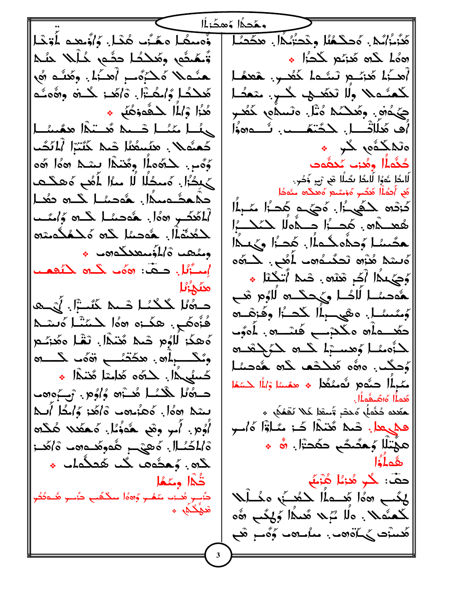وهّدما وَهدَا وْٓهممُا ممُنُوب هُدْا. وۡاُوۡمَعِن لَمُوَدْا هَٰذُانُكُ. هُڪَهُمُلُ وِحْدُّتُكُمُلُ. هَڪُڪُمَا تُمَعْصُ ومُللهُ! حثَمِ خُلْلاً حبُلاً ههُم حَده هُدنِهِ حَكْدُا \* هنَّملاً هَكَزُهُ ۖ إِهْكُلْ وَهُنُّهُ مُّ أهدَّ مُحْتَمِ مَعْدَمٍ لَمَعْدِ. هَعْدًا كَعنُـه\ واَلا تَكَعَـــها لَكـــرٍ. متَعَصًـا مَكْتُمَا وُإِيضَةَا. وْأَهَدْ كُنْ وْهُوشُو هُدُٰا وۡ)ٰ الۡ كَـفُوهُمَّعُ ﴾ جَهْجُهِ . وَهُكْسُمْ هُنْذَ. هِنْسَمُو لَمَحْكَمَ أَفَّ هَٰلَاتْــــــــا. ۖ حَكْتُمَّــــب شَـــوهِ وَا حلسنه المُتَسَمَّ مُستَمَّا مِنَّسَلِ الْمَسْتَمَّاطِي كَمنُه\\. مئسمُعُل صْم لَمُتَتِرَا أَلْمَنَتَ أەتملگەُ بىگىر ، حُثْمَلًا وهُزم كُدهُوت وَوُّمِنِ. كَمُوماً وَمُتَمَّا بِيْدًا وَهُ أَوْهِ ۔<br>لَاحُکْم شَوُا لَّاحُدُ نَصْلًا تَی <sub>کُ</sub>ر ِ وَجُر.<br>کَی اُحَمُاْل مَّکَسِ دَوْمَـُــمْ دَھنگاھ مَتَحَام كَعِجّْزًا. دُمْمَكُلَا لَا مِمْا لَمُعْمِ دُهِكْتِ حكْمحْــوممكّل هُوجميا كـــرو فعُبا كَنْتُمْ حَكَمِيًّا. كَيْتُ هَكْشَرْا مَسْبَلًا لْمُكَصَّرِ ۞هُا. ــقَاصسُــا لِكْـــاتَ وَامْسُــت هُعِيهُم وَجِيءُ! جِيهُولًا جَيْحَيْ! لْمُعْتَمَاً فِي مَقْدِمَا لَّذُهِ مَكْمُكُومَةِ هَكَسُلُ وَحِذْهِكُماً لِ هَدْرًا وَجَسَدًا ومئصه والمؤمعدلكموم \* كَاسْتُكُمْ هُٰذَاهَ تَحَكَّسُهُ مَا لَمُكُمْ ﴾ لَكْتَهُ هُ إستَّأْثَلَ صَفَّ: 200 كَلَّهُ كَلَّهُمْ وَحَيْمَلًا أَكْرِ مْنْسَ. صْمَا أَتْكُِنَا \* منكئها حُوصئـــا لَاصُـــا ويُحكــــــو لَلوُم مْب حەمُل كَكْتُا حْـىم كَتُـــٰٓٓٓٓا. لَيْ ه وَمُنْسَلَ دَهْيِبِ{الْكُحَـٰ;ُا وَفَزَعْتُهُ قُوْمَى. ھكْزە ھەُا كىنشا ەستىد حَعْــــملَّاه مكْــْبْـــــ كَــْـــــــه . لَمَوُّت هُهكُ; لَلوُم شَيمٌ هُتِيمًا. تَغْلُ هَمُزَيَّـم كَتُومُا وَهِيسْتِهِا كَلُّهِ كَرَجِكْتِهِ وَنَكَــــــرِلَمِن مَكْتَمُــــــــ وَهُ حَــــــــــوه وُحكْب. ە۞ە مُحكْتُف ݣُدْ ݣُوهلْدْ ضَّلِيمًا. كَمَّه مَجْلِمَا مَّنَّمَّا \* مَعْبِظًا حَنَّفُوا شُمْعُوا \* مَعْسَا وْاللَّا حَسَمًا كَتْمَالْمَ لِلْكَسَاءِ هُنَّ هُوَ وَاوُهِ . ۚ وَلِيَ وَاحِدِ مِنْ وَاحِدِهِ مِنْ وَاحِدِهِ مِنْ وَ هُدهاُ أَهْرَهُ هُداُ . ىستى بەڭا. كەغنىچە ئەككىز كولىگا أىس حَقَده حُذَهَلُ هَدَءَ تُسقَط كَلا تَقْفَكُم \* عل<u>ى هل.</u> شىھ مُتىمَّا كَــ; مُـَـاةُا كَاسو أَوُمْ. أَسٍ وقْعٍ هُدُوُمُّا. دُهَقُدْ دُمْدُه ة/الْحَسَّالِ. هُڪَبِ هُمُوهَــــــــوه هُ/هَــــز هَيْتُلَا وُحَصَّصَ حَكْحَتْرَا. ۞ ۞ **هُداُوُا** £ە. ۇھتُەھ گىا ئ*ە*دىگەلمى ھ حقّ ـ حُـُـ مُنْ مُنْ مُنْ مَنْ اللَّهُ ذُكَرا وحَمْمًا دَّبِــِر هُــۃِــ مَعْــَــِر وُ∞هُ| مىڭـھَـــح دَّبـــر هُـــەكْدُ لَّكُبِ هَا هُــهِــاَ لَــهُـــَـنِ هَــَــلَــلا شۈڭكە م لْكَعْثَمْلاً . وَلَا تَبْلَا قُبْلُهَا وَلِكُبِ ۞هُ كَعْمَدْوَتْ إِيَادَاهَ مِنْ مَاسْلَامِنَا وَقَاسِرِ هُيَا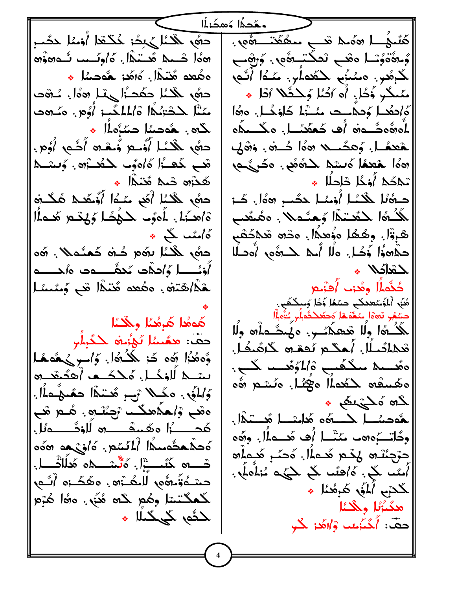وهّدما وَهدَا حَثَى لَحْمَا يُهِدُّ: خُذْهَا أَوْسُا حَصَّــ ادْهَا شَــْمِـدْ مُــْتَمْلَ. دَاوِيَــْبْ نَــْدَادْوُرْد ۇمۇقۇتىر ەھب تېڭتىدۇەب. گۆزۈپ ەھُمدە مُتنمْلْ: ەَاهُد ھُەھىئال \* كُرْهُو. مَمْنُع كَعُدَاُو. مَدَّا أَنَّـهِ مَنْنَكُمْ وَجُلَزٍ أَهْ ٱكْثَا وَجَلَفُكُمْ ٱقَا ﴾ حَقَّ شَاهُمْ النَّصِ الْمَصْطَرِ الْمَكْلَمَ مِقْهَ مَثْلَا لِكَتْبُلُّالَ هُ/لْمُلْكُبْ; /ُوُمْ. هَـُـهِت كَرُاحِفْكَ وَحِمْسِتَ مُنْتَهَدُ كَاوَجْكَا. وَهُا لَّهُ . هُوَصِمًا صَمَّرُهَاً ﴾ لمُوهُوضُـوهِ ﴾ُ ضَعِعُنُـــلَ. وكَــــمِكُو دهُبِ لِلْكُمُلِ أَوْسِعٍ وُسْقِيهِ أَشْبِي أُوُمٍ. هْبِ كَمْسُوًّا كَادَوُبْ لِلْتُعَبُّرُهِ. وَبِسْلِمْ مصرُبِكَهِ . بِهُهُمْ مُسَمِّدُ الْهُمَهُ اهْم أَسْمَحُمْ أَوْخُلْ شَاحلًا ﴾ هَدْرُه شَمْ هُنَمْا \* حـهُنُا لِكَـُـٰا أَوْسُـا حَصَّـٰ هوُا. كَـٰ; حمُّ لَكْتُا أَهُم مَّدُا أَوْضَدُ هُكْـفِ ةُاهنَّا. لَمَوَّت تَحَوُّصًا وَلِحْتَم هَيْمَاً لَكُـرُهُ| لِكَعْـتَمْلَ وَهِنُـمِلاً . هِ مُمَعْب هْرِوْٓا. وهُهُا هوُهِكَاا. هـْه هَدْكُمْهِي کامئب کے \* حِدُّهِ ذَا ذَحَا. هِ لَا أَحِدَ حَدِيقَهِ اهْجِلًا دهُم لَكْسُلَا لَهُمْ هُـ هُـ هُـ هُـهُـ هُ هُ لمثلاكلا . حُثُماً وهُن أُقْبَم هْدًا، هَتْمَ . هِ هُمْهُ هَٰنَدًا هُبْ وَعَمْعًا هُنَّهٖ ٱللَّهُمُعَعَلِّي حَمَّطُ هُدًا ۖ وَسَكَّفَ .<br>حَمَّظُرِ ثَهَةَا مُعْقَدَا وَحَعَلاَخُهِ أُر<sub>ْم</sub>ِنُتَّهَا ا كَمَعُدا كَبِعُمُا وِلِكَمُا لِّكُمُّا وِلَا شَعَكَبُ مِنْ مُحَدَّدُهِ وَلَا حقَّ: همَّسْلا تُهْيُمةَ لِكَبِلُو مْحَلَدُ اللَّهُ أَحْكَمَ نَعْقَرُهُ كَاهُبْقَالَ وُّەمُدُٰا هُء كَمْ لَمُلْـهُا. وَاسو کِـهُمُمَـلَّـ ەقسىم مىڭگىپ ۋالمۇقسىي كىسى. ىشىم لُلْفِجُالِ. كَكْتُبْ أَهْتُبْقَدِهِ ەھَسۇم كَمُداً وَكُتُلْ. ەَئىتىم ھُە وَٰآٰٰٰٓٓہٰذِ ۚ مَكَـٰهُ ۚ رَٰٓبِۖ مُّـَـٰٓهَۢا ۖ حَمُّـٰهِۢ عَلَٰہٗ ۖ وَ  $\sim$   $\frac{1}{2}$ ەقىم ۋاھكاھگىم توڭقىھ . ھُــــــــو قىم هُوصِيًا لِمَسْرَهُ وَ هُلِيْسًا هُسْتَوْلَ. كُتْمِ الْمَامِّسَةِ مِنْ الْمُؤْسَسَةِ لِلْهِ وَحَسَنَةً مِنْ وِدَّاتَّـــرِّه∞ب مَنْتَـــا /ُف هُــــه اُل. وهُه هَ هَدَاهَ مِعْدَا الْمُسَمَّدِ. هَاوَيْهِمْ هَدَهُ حْرَجِئْنَـْ۞ لِكَـْعِ هُـٰـٰهِ/ْ. هُحَـُـٰہِ هُـِـٰمَاهُ۞ حْــــره كَتَبِــــْ;ْل: كَنْتْــــــــــاه مَّحلَلاَتْــــــــل: أَمَنَـٰ كَمْ . هُ١َ هَفَـٰ كَمْ حَمْيَـٰهِ مُنْمَاهِ أَبِهِ. حشەُوَّمە للىگىزە . مەڭخىزە لائىم لْكُتْرَى ٱلْمُؤْمِنُ هُوَهُمُا ﴾ كَمْكْتَبْقَا وِهُمِ كَلّْهِ هُنَّهِ. وَهَا هُرُّم هگُنُرُل وِلْمُكُلُّ حدثُم، حَكَيْكُمْ \* حقّ: أَخْذَنِي وْااهُدْ جْر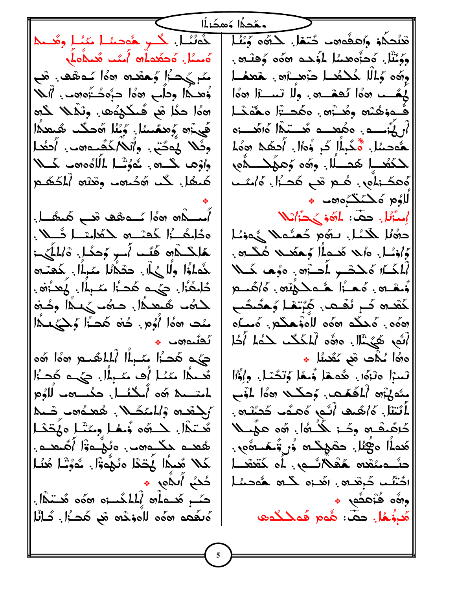وهَّجِدًا وَهِجَزَاً خُونُمُا. كُــرِ حُوصِمُـا مَبُــاٍ وِمُحــما تَعْلُحكُمْ وَاهِقُوهِ ۖ كُنْهَلْ. كُنُّهُو وَّغُـٰلَ كَمِينًا. كَحَقّْقَاءُ مَنْ كَمْدَقَاقِيَةَ وَوُنْتُل. هُجزُه همْل لمُؤْهِد «هُه وُهِنْد». مَعْ إِحْمَارَ وَحَقَدَهُ مِنْهُمْ مِنْ شَيْءَ مِنْ وهُو وُلْمَلا حُكْمُكُمْ حَرْمَدِهُو. هَمْهُكُمْ يُمَّــد 30% نُعْمَـــده . ولَا تَســـأَلَّــ 30% ؤُهِـٰٰهُا وِجاْبِ هوُا جَزْهِجُـٰٓءُوهب. أَٱللا فُـوهُـْهِ وهُــْرَه . وهُـــْرَا وهُوَــْـُـل ههُا حَكَّا هُم فَىكْلِهُ، وَنَكْلًا كُم كَيْمَة وَهِمْسْلَ. وُمُلْ هُدَكَ هُمْلِكُمْ أَنْ لِمُؤْسَسِهِ . هِ هُهْسَمَ هُسْتَيْمًا هَاهُسْتَهِ، وِثَىْلاً ﴾ وَعَنْهِ. وِٱلْعَلَامُكَفِّىــدەف. أَنْفُعَا هُدَدِسُلَ هُجُراً لَي ذُوالَ أَدهَدِ 2% وُاوْهَا لْكُلْمَةِ. غُوُثْنَا لِمُلَاهُوهَا لَمُسَلَّا لِكَعُفِ لَا هُجِساً . وَهُو وُحِكْمِهِ لِمُوم كَىتْقَا. ݣُــْ ھَڪْتْھَـى وَقْتَلَة ٱلْمُكَتَّـْمَ وُهكَــٰ; أي مُـــم هَـــ هُـدـُّا. وُاسَّـــ اللؤم ەكككەەب \* أمسلُه هوا مُسهَد قب هُيعُسلَ. |إسْرُّلْل: حقَّ: لِمَهُوْ حَجَّرُاتِيلا ەگلىگى؛ كەتىسى كەدلىتىل ئىسلا . دەُلا كَتْسَا. بەھ كېمنىڭ ئەۋئىل هَاكَـدَّاهِ فَتَــد أُسو وَحكاِ. هَالمَلَّكِــز وُهُوْسًا. 6لَكَ هُدهاُ أَوْحَقُدِكَ هُكْدُهِ. أَمْلَكُمُ ٱوۡكُسُو ۖ لَمَصۡرَهِ ۚ وَوُهَا كَمَلاً ۖ حْمَاؤُا وِلَا يُأْلَى. حَثَمُّنُا مَبْرِلًا كَحْسَنَة مَالِحُزْا. حَيْءِ هَدْ الْمَبِلَالِ لِمَحْزَمَهِ. وُمِصْهِ . هَمْ أَلْمُصْطَهُلُهُ . هَاهُمْ و لِهُمَا هُبِعْدَاً. حَقْبٌ كَلِمَا وَحُبْهِ كَتْدِهِ كَمْ نُقْعَةٍ. كَبُتْعْا وُهَدُمُن مْتَتْ 10\$ أُوُمْ. شَرْهَ هَشْهُ أُوحَيْنَكُمْ ا الْمَوْمِ، وَحَكَمْ مِمَّو الْمُؤْمِنَكُمْ. وَسَلَم أَنَّهِ هَيَّتْلَا. هَ أَمْكَكَ حَدُمًا أَحْلَ ئەئىمەم ھ حمّه أهْم بصـمْلَمَا الْمَلْمُسمِ هُمَا هُمْ ەھْل بْكْت ھُو كَعْبِيْل ﴾ مُّــداً مَـُـا أَف مَــراً!. حَيْــه هَمْــزًا تَسْرًا وتَزَوَّا. هُوها ذُها وُتَكْتَا. وإِوَّا لمتسمط هُو أَمكْتُما. حكْسوما لَلوُم مِتَوْيَةُ الْمُكَمَّدِ. وَحَكَّدٌ 10\$ الْوَّبِ لْمُتَتَلَ. هَ/هُتِ أَلْتُم هُهشُم كُصُلُتُ . كَمِيْتُورُو وْݣَمْتُمْتُمْلَّا . هُمْشُورُومَا شَيْعَا مُحتمْل حدهُه وُحمْل وِمَتْلِ ولِكَحْمَل كَاهُنْفُــْهِ وَكُــْ; كُلُّــةُ). هُه هِيْمِــْلا ھُعدہ حكّدہ ، ولُهُورَا أُمُعدهِ. هُدماً ا مڤِنُا. حقهگده وُرتُمَمْحدُّه. كَـلا مُحمدًا لِمَحْدًا معُهْوَاْ. هُوُتْـا مُحَلّا حتَــممْعْدِهِ هُفَــهُ(تَــم ). لَمه كَقْفَــا حُدُمْ أَلِّدَهِ \* اكْتْئُبْ كُرْشْدْهِ . اهْدْهِ كْلّْهِ هُوَجِئْتُ حَسْمِ هُدهاَه (الملكُسة وهَ هَ هُسْمَا).  $\bullet$   $\bullet$   $\bullet$   $\bullet$   $\bullet$   $\bullet$   $\bullet$   $\bullet$ هُرِزُهُا. حقَّ: هُوم فَوكَكُوهِ ەُبكُعە «ەُە للەفْدْ« شْ هُجْزَا. كَالْلَّا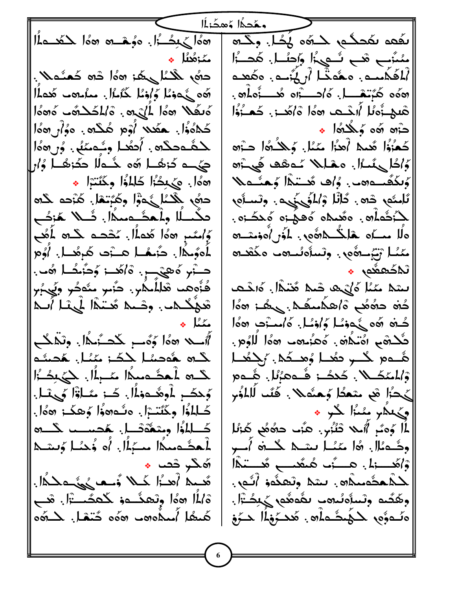وهّدما وَهدَا الْمِسْتُمْلُ اهْمَ مِسْمَى مِنْ الْمُسْمَدِينَ بَعْقِهِ بَعْجَكُمِ حَدَثُهِ لَهُجًا. وَحَدَثَة مْنَزْمِ هْبِ نُــْيِيْٰٓا وَٱحنُــا. هُـدـُّا مَنْرْهُدُا ﴾ أَلْمَكْمِيدِهِ وَهُوَجُّا أَرْبَيْنَ وَمَ وَهُجِدِهِ حَسُ الْمَسْلَمِينَ مِنْ أَهْمَ نَصْرِ الْمَكْ رَضْهِ . اَلْمَصْ صَحْمَلَ وَإِذْكُمْ لَمُكَمِّلًا. مَعَامَلَتَ مَحْمَدًا هْدِخْوَمُلْ أَآخَــْ هَا وَأَهْدَى: كَـمـُزُوْلَ أَهُمَهُ الْمُسْتَمِينَ وَالْمُكَلَّمَةُ عَلَيْهِ مِنْ الْمَكْلَمَةُ كَهْوُوا. هَقَدْ أَوْمِ هُكْلُهِ. وَوُأَرِ 30\$ ေါက်နိုင် စော် တယ لْمُشْمَحِكُمْ. أُبْعُمْا وِشُمِيْكُو. وُرِ70\$ كَعْزُوْا مُحِيط أَهِدُا مِّئْدًا. وَجَلْبُهُا حِبْرَهِ دَيْتُ مَا مُعْسَلِ هُو مُشْتَوَلًا هُوَ مُشْتَرِكًا وَارْ مثروه عقمه مملكه بالمنر انحاني 100 . وَيَجْعُدُ الْمَالُوا وِلْمُتَنَبِّلُ \* كَوْتَكْفَسْدْهَا . وُأَهَا مُسْتَدَّا وُهِنْسُدْ الْأَ دهُم بِلْكُمُا يُهَوْٓا وِكَبْتِمْا بِ كَنْرَدَهِ لَكُمْ رَضَ تَأْسُبُهِ وَمِنْ مِمْ أَأَلَمْ وَسَلَّمَهِ مِنْسَاءٌ كْنْسَلَا وِلْمُكْيِمْتِيْلَا. ثَنْبَلا جُزِكُنِي لْأَخْمَلُو. وهُملو وُقِيْءَ وَمَحْدَو. ەللەسلە ھلڭگەۋەب لمۇر/ەۋىتىدە وَإِسْمَمٍ هَا أَهْدَاً. تُحْصَدُ لَكُنَّهُ لِأَهْبِ لَمَوۡكَٰا ۚ. حَنۡـمَــا عــٰٓوَت كَبِمُــا ﴾ اُوُم مَنْتُلُمْ رَبِّيْهِــوْهِمْ. وِنْسأُهْلُـــوت مَكْفَــوه حَــْزَىٰ هُڪْبِــِ فَاهُـــز وَحَنُّــُــل هُــَ .  $\cdot$   $\downarrow$   $\sim$   $\sim$ فُزُّوهم هْلِلْمكْرِ. هُٔىرِ مِثْمِضُرِ وِيُكِبُرِ ىصقاق بالمُتَمَّ مْتَكَمَّا هَرْدًاهُ مَّتْكَمَّا بِهِ مَاسَفَتْ هُوَكُــدُ. وصْـدهُ هُــتمْا لِيَـنَا أَبـدُ كَنْ حَمَّكِي مُكْتَبِدَ مَكْسَلَاءِ مِنْ الْمَحْمَدِينَ كُنْ هُوَ يُحوَيْبُ إِيَّاءُ إِذْ الْمُسْتَوَى هَذَا اللَّهَ عَلَيْهِ مِنْهُمْ الْمُسْتَوَى الْمُسْتَو مئىلا ھ أَسِيهِ 16% وَمُسِرِ لَمُحَسَّنِكُمَا. وِتَمَكُّب ثَكْلُمْمِ ادْتُكُلُّهُ. كَعْنُبْهِ مِدَّا لَاوُمْ. كە ھەدىئار ككىز مئال. ھَدىئە هُــوم كُـــو حفُصـاً وُهـــكُمْ. رُجِكُمـاً وْالْمَحَـــلا . كَحْصُــْ ڤـــْممْرُلل هُـــم وَحكَــرٍ الْوَهُــدوٰفِهُ أَبِي مَــزِ مِــَـارْةُ الْمَحِيمَـةِ الْمَ لَّكِحَٰزًا هُوَ مَتَعَمُّلَ وَحَشَّمَكَ ﴾ فَقَد لَلْلُؤْمِ كَـالمُوْا وِكْتُــْرَا. وشَــْ10وَا وُهكَــز 100. أُويْكِمُو مُنْذَا لَكُو ﴾ كَــالمُوْا وِمْعَةْتْــا بِمَحْمَــــ كَـــــرَه لَمَا وَمَنْهِ أَٱمَلا تَنْزُو. هَنْ حَمْكَ هَٰذَا لْمَحْــٰمِــٰماْ مــٰہٰلٰٓا فَ اُو اُحِنُــا وَيَسْــدْ وضَّـٰہُال ہٗا مَنْــا بِسْــہ كُــۃ اُنــو وْاهْـــزا. هــزٌم هُـمَّنب هُــتَمَّا ەگر ئصى \* مَّدِمِهِ أَهْدُا لَهِــهِ وَسَعَفٍ يُهْدِمِهِ كَمَارٍ. لِكُمْهِدُّەبْدُرُهُ: تَسْكُمْ وِتْتَعَدُّوْ أَتُبْيَى: هُ/أَا «هُا وِنْھَـدُو كُـھصَــٰٓ; ۚ هَـــِ وهَكْدِمْ وْتْسْأَوْتُمْسْ بْكُلْمَوْهِ كَلِيْجَابَا. كَمِيعًا أَسِلَّاهِ مَنْ مَتَّقَالَ لِمَدَّةٍ ەلّـەۋە ، خۇنىشـەلمە . ھَجـرَفْلَا جـرَف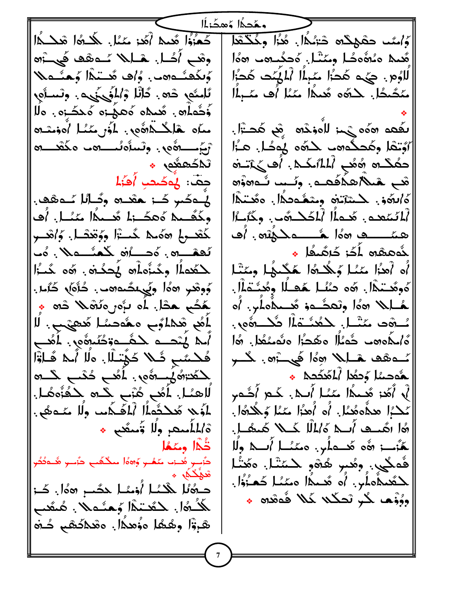| وهَّجِدًا وَهِجَزَأَ                                                 |                                                          |
|----------------------------------------------------------------------|----------------------------------------------------------|
| كَعَنُوْا مُعِيمْ أَهُدْ مَعْدًا. يَكْتُمُا شَكْتُهَا                | وُامِّم حقهگھ حْتِمُلاً. هُدُا وِحُكْفَلَ                |
| وثب أحُل هَللا مُــوسُه في آه                                        | مُعمد دَمُّہُدًا وِمَثَّا. کُحکُمُت اللَّهُ ا            |
| كَوْنَكُفْسُدْهَا وَإِنَّكَ مُسْتَمَلًّا وَحَشَّدَهَا لَا            | الْوُم. حيّه هَجْا سُبِلَا الْمَيْتَ هَجْا               |
| لْأَسْتَهِ ۚ دَمِنْ مِلْأَوْلِمَاءُ ۖ وَسَــأَهُمْ وَسَــأَهُمْ      | مَكَنْدًا. كَتَوَه مُعَظَّا مَمَّا أَفَ مَّتَظِ          |
| ۈَحُمْلَه. مُعمده ەَعهُـ;ە ەَعكَـزِه. ولا                            |                                                          |
| مِيَاهِ ۖ هَاكُـدَاهُورِ ﴾ . لَمُؤْرِيمَنُـلَ أَوْمِيْتِـهِ          | بَاشَعة بِهِ مِهْدَوه السِّرَ مِنْهِ مَصْفَهِ.           |
| <i>ٛڗ</i> ۼۜۥ؎ۿؘ٩ۦ؋ڷٮٮٲٛ۠ٙ٥ڷٮ؊ڡ؋ػڞڝ                                  | ٱوۡتَـٰقَا وِكَحِـكُمُو ۖ ـلَـٰهُو ۚ لِمَحُـلَ عَـٰزَا ۖ |
| <b>تَكْتَحْمَيْهِمْ *</b>                                            | حَمُكُــهِ شُمُّـبٍ ٱلْمُلَّكَــدُ. أَفَ يُـٱتّــةَ      |
| جعّة: لموكّضه أهنّها                                                 | ھُب مَسْلاَھِکُاھُھے. وَيُسْتَ شُمْ19وَّ9                |
| لمحكَّس كُــز هقْده وكُــاللا مُــــــــه و .                        | كَاللَّهُوْ. لِكَمْآتِنَهُ وَمِتْعُدْدَاً. 5هُنْدَا      |
| وكُفُـــدا هُـْحَـــزا مُــــدا مَنْـــا. أَف                        | أَلْمُتَعَدَّدٍ. هُدَمَاً أَلْمُكُنْ هُوبٍ. وَكَذَبُنَا  |
| كَقْدِمِ 2004 كَسْتْرَا وَوَتّْنْصَا بِهِ وَاهْسِ                    |                                                          |
|                                                                      | لأەھھە لمكا كەگىگا .                                     |
| لِنَعْماً وِكَنْوَاه لِحِكْمَ. هَ مَكْرًا                            | أَه أَهْنَا مَمْلًا وَلَكُمُّا هَكُمْهَا مِمَثْلًا       |
| وُوتَنو 30\$ وِيُهتَمَّده . دُلَّهَ كَامَل .                         | هُومُتَىٰذًا. هُو دُمُّلْ هُڢْلْا وِمُنْتَااً!.          |
| هُڪُم هَڪَل. اه پُورهگُشَمْلا ڪُره ۾                                 | هُــاللا 30% وتَعَشَّــهوْ مُــــعلَّفاتِ. أَه           |
| لمُعْ هَدَارُبٍ مَعْجَمْاً مُصِيْبٍ. لا                              | سُــوْت مَتْسَا. كَمُثَــْمَاا ثُكـــوُّى.               |
| أَلِمْ يُتَصَــهِ لِحَقَّــهِ;فَكَيْرَةُي. لَمَعْب                   | ەُ، جامەت خەمُلا ەھَدُا ەئەممُعُدا. ھا                   |
| فُحْسَّـحٍ ثَــهُ كَوُّتَـلًا. هلُا أَبْـمْ فَـاةٌا                  | أَسْمَعْكَ هَـٰلِمَا هِمَٰا هَيْـَآهَ. كُـُــَـرِ        |
| بِكَعْتِبْهُ إِمْسَاءً مِنْهَا جَمْسِ كُنْسِي كُنْسَاءِ              | هُ٥حمْل وُحفُط ٱلْمُعَحَّدِ *                            |
| للعنُـل: امْي هُنْبِ حْـه بِحْـفُنُوهُـل:                            | ﴾ أَهُدَ هُـــدًا مَـُـُـا أَبــدَ. كَــم أَكْــمب       |
| لَمُو تَحْكَمُاْ أَلْمُكُمْتِ وَلَا عَنْدَهُا }.                     | كَكْرًا هِكُوهُنَا. أَو أَهْزًا مَنْا وَكُكْرُه!.        |
| ةالملَسم ولَا وُسعٌبى *                                              | ەُ اھْتَ اُسْمَة مُالَمَّة كَتَبْ مُتَعَمَّلَ.           |
| ذَٰٰا وَحَمْلاً                                                      | هَّنْ فَ هُ مَلْحَلَىٰ. مِمَّنْ أَلْهَ وَلَا             |
| دَّبِيرِ مُنْ مَعْيَنِ وَادَّا مَكْفَبٍ دَّمْي هُنَدْدُرِ<br>شۇڭگە ، | فَمكَىي. ومُصِرِ هُ٥ُو حَمَيْنَا. ٥مَنْا                 |
| حــهُـُل للْكَــُـل اُوۡــُــل حَكَـــرٖ هوُا . كَــزا               | َكْتُعْمَةُومَارٍ. أَو مُحْمَدًا وَمَنْنَا كَعَزُوًّا.   |
| لْمَدُوًّا. حَقَّتْمَا وَحَسَّمَلاً. صُفَّب                          | ووُوْم لَكُمْ تَحكُمْهُ كَلَّهُ هُءَمْدَه *              |
| هْبَوْا وهُهُا هوُهِدًا. هِمْدَكُهُمْ كُـثَة                         |                                                          |
|                                                                      |                                                          |
|                                                                      |                                                          |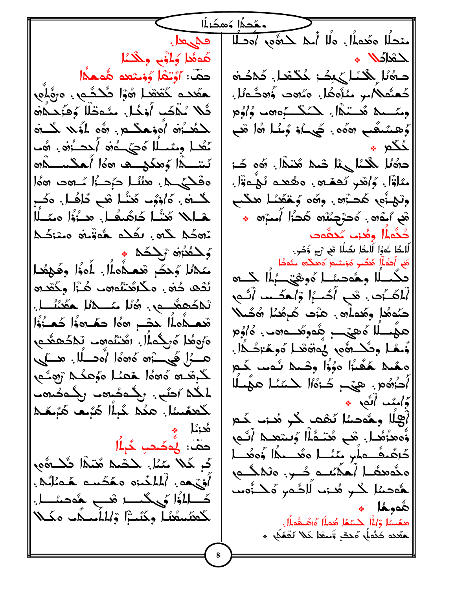وهّدما وَهدَا متحلًا معُملًا. ولَا أَمِدْ كَرْهُمِ أَوْصَلَا والعركم كَمْمَا وُلْمْقِ وِلْمَسْأَ لحقائلا . حقَّ: ٱوُتْقَا وُوْسْعِهِ هُمِعَا حىدُمُا لِمُكْمِنْ بِكْبِرِي الْكُلُّوا بِهِ مِنْ الْمَحْدَةِ حفَيحه خَقفِهِ للهُوْا حُكْشُمٍ. وَوَٰٓاهُمْ كَعنُهلا}س مُذْأَهِ كُلْ. هَنُهُ حَدَّثُهُ وَاحِثُهُ مَا بِ ثَلا مُکْکَب أُوْحُل. مثَمثلًا وُهَزَجِکُه ومئسمة مُحسّنةًا. كَنْݣُكُوهِ لْمَعْدُوْنَ أَهْوَهُكُمْ مِنْ مِنَّةً لَهُ لَا يَكْسَرُهُ وَهِسُمُه وَ وَ مَاءَ وَ مُا أَهْلَ مَ عَقْداً مِسْسَلًا هَجَيْجَةٌ أَحْصَنُوهُ . شَمَّ ئگم \* تَسْبَدُا وَهِكُمْ هِ مِهْمَا أَحْكَسَنَدُهِ حَدُّمُ الْمَنَةَ مَمَّ الْمِرَاسُةَ الْمَمَّاطِ مَنْ أَشْرَاسَةَ مِنْ مَنْ مَنْ هڤَكَيُكُمْ. هلُلُّا حَرَجَةُ! يُنهجَّ هوُا مْدَاوْل: وَاهْدِ نُعْقَاه: مْعُعْدَ نُهْدَوْل: لْحُــة. ەُاوْوُ- هَنْـا هَــ كَافُــا. ەكَــِر وِنَهِنُّو، هُدْرُه. وِهُو وُحْفَصُا مِكْب هْلِلا هَنُّا حُرْهُبِعُا. هِـزُوُا مِيَـلًا هُم ٱللَّهُ ﴾ . ٥ هُوَجِئْلُه هُجَٰا أَسْرُه ﴾ تەكك كە . ئۇلم ھۇتىزە ەشزكىك ِكُثُماً وَهُنِ مُحَمَّد ۔<br>لَامْطُ خَوُا لِّامْطُ نَصَلًا کَی <sub>کُ</sub>ع وَّکُو.<br>کَی اُحَمَٰالِ مَّکَسِ دَوْمَـُــمِ دَھنگتو۔ مَتَحَطُ كَمْخُبْرَهُ تَرِيكُمْ \* مَكْلًا وَحْكُرٍ مْحَكَّاهِكُلَّا. لَمَوْا وَفَكِفَا حكْسلًا وهُوصْسًا وُوِهْتِي زُلَمَلَ كَسْرَهِ نُصْھ دُنُه . مَكْلِمُنْتُوهب هُــْزَا وِكَعْدِهِ آَلَكَنَّاتٌ. هَي أُكَّبُّ! وْأَهكَــْتَ أَنَّـٰهِ نْدْكُمْعُسْبْ. شَالْ مُسْلَمْلْ هِغْنُفْسَلْ. حَمْمُعا وِمُدملُه . هنَّت هُرِمُنَا هُصُلا تَعَمَّدُوا الْمَشْمِ «هُوا حَمَّــ«هُوَا حُمَــُرُوَّا } هَهُمُا أَهْمَى جِمْعُوهُمُ وَهِ وَاوُمِ هُوهُدا هُرِجُهاًا. اهْتَفُوهِ- لَكَحْمَعُهِ وُمطًا وِئُكْسُوهِ ﴾ وقوقها وُوجَّتِكُما . هله الْمَحْمَدِينَ وَهُمْ الْأَمْضِ الْمَسْتَرَبَّضِ ەھْبە ھَقْبُلْ ەۇۋْل وشىھ ئىمپ خْت كَبِرْهُــِدِهِ هُـوَهُمْ الْمُعَمّْـ (مُعَرِّضَة مُعَامَّة الْمُعَامَّة مِنْقَا أَحْرُهُم. هِيْءِ كَرْهُ! كَسَبُنَا هَهْمِلًا لمگنا آتئَبي. ريگوڪيھب ريگوڪيھب أَوْأَمِيَّىبَ أَلَيْهِ \* لْكَعْمُسْلَ. عَدُمْ ذُبِلًا هُبُتْ هُبْكُمْ أَهْلًا وهُوصِمًا نُهْعَد كُنْ هُدْتَ كُنْعَ هُدنُا ﴾ وْهِ مِنْزَمُهِا. هَبِ مُحْتَــةُ لَمَا وَسَعِنَــدَ أَنَّــهِ حقّ بصَحْمِدِ مُؤَامَّا كَاكُنفُـــهلُرِ مِنْنُـــا هقُــــندًا وُهفُـــا كَمِ كَلا مَعْلَى حَصْدَ مُّتَمَّا شَكْمُو مذُه هذا أهدَّتُك رحُسِ. هندكَكم أُوْيْهُمْ. أَمْلَمْنُوْهِ مِعْضُبُكَ بِمُحَلِّلُهُ. ـِهُدَمَنُا لَكُـبِ هُــْبَ لَاكْـدِبِ كَكَـــُّوْمِبَ كَــالمُوْا رُحِكْــــا هَـــحِ هِمُوصِيْـــا. مُدوهُا \* لْكَعْنُسْتُغْشَأْ وِكَنْتْزًا وْكَلْمُسْكُفْ مْكْلًا همُسْلَمْ وَاللَّهُ الْحَسَمُ الْمَحَمَّلُ أَمَاهُمْ الْمَالَ. معَلاده حُذْهَلُ هَدشَہٖ تَنْسقَط کَلا تَقْفَیُہٖ ﴾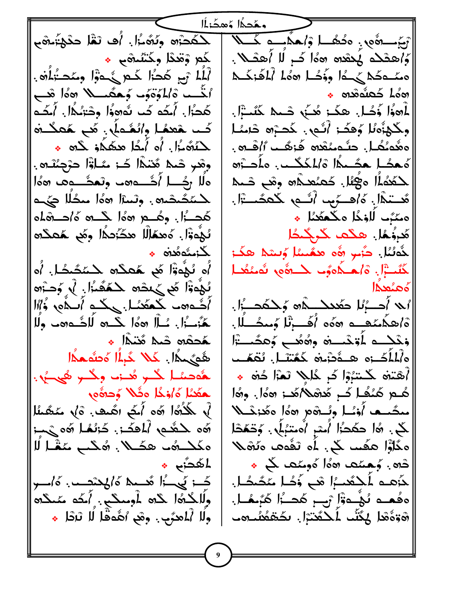مكحكًا وَهجَّنَ ا كَـكَحْزَه وِنَهُمْرًا. أَف تَغْلَ حَكَمّْ َحْمَ *تَيَّ ـَـــوَّهِ*، هُدُهُــا وَ*اَــوَهُـــــه خَـــالا* وُاهفَكُم يُحقِّده هوا كَبِ لَا أُهفُكُلُ . كُمْ وْتْدْا وِكْتْدْهُمْ \* ممْدَمَمْ كِمُا وَذَكَ الْمَرْكَمْ مَدْه أَلَمَلَا ۚ رَبِّي هَدَٰۥ ۖ لَكُـع ﴾ وَاللَّهِ وَمَكَدُّ أَنَّهُ وَاللَّهُ وَمَعَدٌ مِنْ اللَّهَ وَ  $\bullet$   $\bullet$   $\bullet$   $\bullet$   $\bullet$   $\bullet$   $\bullet$   $\bullet$ كَحَزَا. أَيَكُم كَب نُهودُا وِحْتِنُكَالِ. أَيَكُـه لْمُوَدًّا وَّكُلْ. هكَ: هُنَّى صْبِهِ كَتُبَتْلْ. وِكْلِيَّةُوْلَا وُهِكَـٰ; أَنَّـهِ . كُصَرْهِ شَامُـُـل كَــْ هْتَعْمُـْلُ والْعُـُـْمِلُو. كُبْ هُـْمَكْــْتَ لْمُتَمَنُّولَ. أَو أَمْثَلَ هِيَعُكُوْ لَكُلُّهُ ﴾ ەھْمْئْھَا. دېئمنىھە ھُزىھَــٰ ٱاْفْــە. وِثْدِ شَدْ مُنْذَا کُ; مُنْأَوَّا حَرْجِئْتُهِ. هُهصُا هصُماً هَالمُكُمْبِ. مأحنَّوه ولًا رَجُـــا أُخُــــوهـا وتَعجَّـــوها ووهُ! لْمَعْمُلَا هِ صَلَا. كَعْنُعْلَاهِ وَشَعْ شَنْدَ مُسْتَمَلَٰ. هَاصِــَى، أَنُسَم كَـٰهَـمُـــٰٓٓ; ا لكَمَكْتَمُو. وْتَسْأَلْ وَأَوْ مَكْلًا تِيْءَ ەمئەً للوْدُا ەڭھەدا ھ كَحِيَّا. وِكُنْمْ 3% لَكْتُمْ كَاحْتُوْلُو َهْرِؤُهُا. هڭف كْرېڭىغا بُهْءَةًا. هُمحَمَّالًا محَكَّرَهِ أَ وَهُم حَصَّدَه لْحُمْنُا. حَنُسٍ ۞ُه هَعُسْنَا وَسَنَدْ هَكَـٰ; كمنشئ مئدفعه )ُه تُهْوَوْٓا هُم هَعكُلُه لِحُسَّحُمَا. ﴾ُه كَتُسْتَرَا. وْأَحْكُومُو حْسَوْهِ، تُوْمُعُمْل يُهْمَوْاً مَع كِيسْمَهُمْ كَمَكْمَةٍ وَاتَّقَادِهِ مِنْ الْمَهْمَانِ ٥٥ مئعدًا أَأَهُ مِهَمَا ۚ مِكْمٍ مِنْكُمْ مَعْمَدٌ مَعَامَهُ ﴾ اْلِهِ أَحِسْرُنُا حَعُدَدَ ـ آهِ وَحَكَمَــ أَلْ. ةَاهِكُمْمُعْتَ هَوَهِ أُكَتَّ زَلْلٌ وَمِيكُسُلٌا. هَّزْسَةُ!. سُأَلَّا هِءُا كَسْهِ لَلصَّدِهِ وَلَل فِكْلَــهِ لَمَقْمَــةِ وَهُمُـــ وَهِحَمَـــٰٓٓٓا ـَمُحمْرَه شَدْ مُنْدًا ﴾ المُصنَّمة الْمِمَّة الْمَحْمَدُ الْمُعرَّفَة ە،لْمْلَكْــزە ھــذَنْبَو كَمُتْتَــل. تُعْمَــب هُوصِمُا لَحْسِ هُـزم وِحْسِرٍ هُيَـيْنٍ . آهتن كتنبُوا كر حُليلا تمرَّا حُني \* هَعُمُا دَاوَحُا هِ ثَلا وَحِثَى ﴾ كُنْدِ كَنْقُا كُنْ هُدْهَلاً هَٰ: وَهُ أَيْنَا وَاللَّهُ فَيَا فَيْ الْمُؤْمَرَةَ فَيْ ﴾ لَكُاثًا ثَهُ أَنَّصَ آهُتُ الْمُحَمَّلَا ﴾ [ سصٌــم أَوْسُـا وِيُـــةَمِ هَا مَمْزَمْـــلا بَسِرٌ مِهْ الْمُأْبَدُ . خَالَمُ مِصْفَكَ مِهْ لَحْ. هَٰا حَمَّحُوا آُسْرِ آُوسِبُلُا. وُحْمَّحْا ەككىۋە ھكىلا. ۋەگى مەقىل لل مَكَاوَّا هَقَسَ كُلِّ. لَمَ تَقْمَعَ مَنْشَلًا لمَّحَّب \* دُهِ . وَحِسَفَ هَاهُ أُوسُفَ لَكَمْ ﴾ جَـــز کَیِـــزُا هُـــمه کَالِیحْتَحـــب کَاســو لذَّهــه لمُكْعُنــرُا هَــ ذُكُــا مَكْــُكــا. وِلَاحْدُهُ! كَلَّهُ لَمُوسِكِيْ. إِيْمَهُ سُبِكُلُهُ ەفھــە ئۆــەۋا ژېــر كَحــُزا كَبُـمْــا. وِلَا ٱلْمَعْنُوبِ. وَهُوَ ٱهُوَقَّا لَا نَاطٌ ﴾ ۞ۊۉٞۿٳۦڮػؘٸۦڶؙٚٮۮػڗٳ؞ۦٮڬڠڡؙڟؙ؎ٮ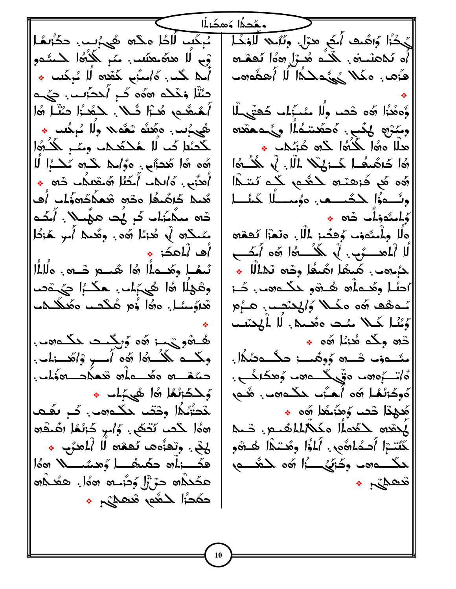|                                                                                                                                                                                                                                                                                                                                                                                                                                                                                                                       | وهكدا ومصدا                                                       |  |
|-----------------------------------------------------------------------------------------------------------------------------------------------------------------------------------------------------------------------------------------------------------------------------------------------------------------------------------------------------------------------------------------------------------------------------------------------------------------------------------------------------------------------|-------------------------------------------------------------------|--|
| مُرِكَبِ الْحُلْ هِكُلُّهُ هُيْ ُسِبٍ حَجَّابُهُمْ الْمُسْتَقِينَةِ مِنْ ا                                                                                                                                                                                                                                                                                                                                                                                                                                            | كَحُنّْا وَائْمُتَ أَمِّجَ هَوْلَ. وِتَمُعَلَّا لَلْوَحُلَّ       |  |
| وْمِ لَا هَدّەُ حَمَّلَت. مَّى كَلِّدُهُ كَسَّدَو                                                                                                                                                                                                                                                                                                                                                                                                                                                                     | أَه نُـُكَاهَنْـــرَةَ . لَكُــّـه هُـــرٌلِ هَا أَنْـقَــقَــرَة |  |
| أَسْلَمْ لَكُتْ. ݣَامْتُو لْكَفْلُوهِ لْلْأَمْرِيكْتِبْ *                                                                                                                                                                                                                                                                                                                                                                                                                                                             | عَبْهِ. مَكَلا يُهْتَمِطْمَا لَا أَهْقُوهِ                        |  |
| حَنْثًا وَحْكُمْ 200 كُمْ أَحْجَزَتْ حَيْجَة                                                                                                                                                                                                                                                                                                                                                                                                                                                                          |                                                                   |  |
| أَهُىعُدِ هُــْٓا ثَــلا . حَــمُحـُّا صُنَّـا هُا                                                                                                                                                                                                                                                                                                                                                                                                                                                                    | وُّەھُدُّا ھَە صْحب وِلَا ممْسَدُات كَـْفَتْنِــالل               |  |
| ، سلمهذ الع <i>محمّد هُشمه ولا مُ</i> رِحُ <i>ك »</i>                                                                                                                                                                                                                                                                                                                                                                                                                                                                 | وسَمْوَمٍ لِكُبِ وَحَكْمَتْ وَالْمُسْمَارَ وَالْمُحَمَّدَةِ       |  |
| كُدُمَا كُبِ لَا هُكْتُدِكَ وَسَمَّ لَكُنُّوا                                                                                                                                                                                                                                                                                                                                                                                                                                                                         | هَلَا هَهُمَ لَكُنُهُ كُمْ هُزَيْكِ *                             |  |
| هُه هُ المُحبَّابِ. هُؤُلِّكُ كُلْهُ مُحَكِّرًا لَّا                                                                                                                                                                                                                                                                                                                                                                                                                                                                  | ھُا ڪَاگُمڪُ جَا لَگَ جَانَ لَمَا جَا لَگُ ھُا جَا اُ             |  |
| أُهْنَى وَالْمَامَدُ أَمَطُلُمْ وَصَفَعَلَمَا حَمْدَ *                                                                                                                                                                                                                                                                                                                                                                                                                                                                | هُه هُم فَزهتُه لهُشُم لَكُمْ نُسْلًا                             |  |
| مَّىمْ كَاتَمْىغَا ەدە ش <b>م</b> ەكەۋلە أَف                                                                                                                                                                                                                                                                                                                                                                                                                                                                          | وتُــدوُّا ۖ حَــُــــع . دوُمــــلا خَمُـــا                     |  |
| دُه مذَمَّزَات کَرِ یُک عَیْمِلاً ﴾ اُمکُـه                                                                                                                                                                                                                                                                                                                                                                                                                                                                           | اكرامشەومات شەھەت ئە                                              |  |
| مَعْىكُلُّهُ ﴾ هُدْمُا هُ٥. وِهُمْهُ أَمْدٍ هَٰذِكَا                                                                                                                                                                                                                                                                                                                                                                                                                                                                  | والَّا وِلْمَحُوْفِ وُهِكُمْ; لِمَالَاً. وَتَعْزَلُ نُهِمُو       |  |
| أَهَا الْمَكَّرْ *                                                                                                                                                                                                                                                                                                                                                                                                                                                                                                    | لَا ٱلْمَعْسَوَّبِ. ﴾ لَكُسْتُهَا هُه أَمَكْسَبِ                  |  |
| لَّىغُـا وِهُــــهاْ أَهْ ا هُـــــع هـَـــــــــــــــه وَالْمَا                                                                                                                                                                                                                                                                                                                                                                                                                                                     | لْمُ اللَّهُ عَلَيْهِمْ الْمُلْكُمْ وَدَّه لَمْلَالًا ﴾           |  |
| سەشرنى ابْتْه . سابْرىھْ اھْ للھڤو                                                                                                                                                                                                                                                                                                                                                                                                                                                                                    | اَحنُـا وهُـــماَه هُـــوْو ــدَــُـــمومـــ. كَـــز              |  |
| قْدَوُسْمَا. 5% وَمَ هُكْعَب 5% هُلَّكُمْت                                                                                                                                                                                                                                                                                                                                                                                                                                                                            |                                                                   |  |
|                                                                                                                                                                                                                                                                                                                                                                                                                                                                                                                       | وَعُمَّا كَــلا مُــد هَقــمه. لَا الْمَحْسَب                     |  |
| ھُـ۞و پۣٛ؎ ۞ە وۡرَكِّىـڡ ھڴـە∞ب ∭                                                                                                                                                                                                                                                                                                                                                                                                                                                                                     | قته ولَمْه هُنْءُ هُه *                                           |  |
| وكمــه لمَكْــةُا هُه أســرٍ وْاهْـــزلمــ. [                                                                                                                                                                                                                                                                                                                                                                                                                                                                         | ىشــەڧ تــــــرە وُوڭىــــز ھـــــــــەئىكال.                     |  |
| $\mathrel{\mathop{\rule{0pt}{\text{\big }}}}\mathrel{\mathop{\rule{0pt}{\text{\big }}}}\mathrel{\mathop{\rule{0pt}{\text{\big }}}}\mathrel{\mathop{\rule{0pt}{\text{\big }}}}\mathrel{\mathop{\rule{0pt}{\text{\big }}}}\mathrel{\mathop{\rule{0pt}{\text{\big }}}}\mathrel{\mathop{\rule{0pt}{\text{\big }}}}\mathrel{\mathop{\rule{0pt}{\text{\big }}}}\mathrel{\mathop{\rule{0pt}{\text{\big }}}}\mathrel{\mathop{\rule{0pt}{\text{\big }}}}\mathrel{\mathop{\rule{0pt}{\text{\big }}}}\mathrel{\mathop{\rule{0pt$ | ەُ اُسْــَرەھە دۆپىگىــەھە كوھكىلگـــى.                           |  |
| وَحْدَانُهُا هَا هَيْ إِلَى *                                                                                                                                                                                                                                                                                                                                                                                                                                                                                         | ەُوخَرْنُعُـا ھَە أَهنُّ حكـْمەت . ھُـُم                          |  |
| خْجَتُكُمَا وَجْتُبْ حَكْمُهَبْ. كُبِّ بَقْتِ                                                                                                                                                                                                                                                                                                                                                                                                                                                                         | مُدهِدًا شَصَا وَهِذَنفُكَ أَوَهُ ﴾                               |  |
| ادەُا لگت نُقْتُعَ. وُاس كَرْنُعُا اكْتَفَاه                                                                                                                                                                                                                                                                                                                                                                                                                                                                          | يُحْتَدِهِ لِكَتَحْدِ الْكَلْكَلْمُكْتَبِينَ شَيْئًا              |  |
| لِكُو. وِتَعَزَّدَتَ لَعْقَدَهَ لَا أَلْمَحَرَّبٍ *                                                                                                                                                                                                                                                                                                                                                                                                                                                                   | كَتَبْرًا أَحِـءُLمْهُوبِ. أَلَمْزُا ومُحْتَمْا هُـهُو            |  |
| فكَـــزلَمُ مَكْتَفَـــا وُهِنْبَــــلا هَا                                                                                                                                                                                                                                                                                                                                                                                                                                                                           |                                                                   |  |
| هَكُمُلُاهُ حَرْزٌلٌ وُحُزَىهُ هَاْ. هِقُدْآهُ                                                                                                                                                                                                                                                                                                                                                                                                                                                                        | مُعْدَيْمٍ                                                        |  |
| حَكْمَا لِحَقُوبِ شَعْمَهِمِ *                                                                                                                                                                                                                                                                                                                                                                                                                                                                                        |                                                                   |  |
|                                                                                                                                                                                                                                                                                                                                                                                                                                                                                                                       |                                                                   |  |
|                                                                                                                                                                                                                                                                                                                                                                                                                                                                                                                       |                                                                   |  |
|                                                                                                                                                                                                                                                                                                                                                                                                                                                                                                                       |                                                                   |  |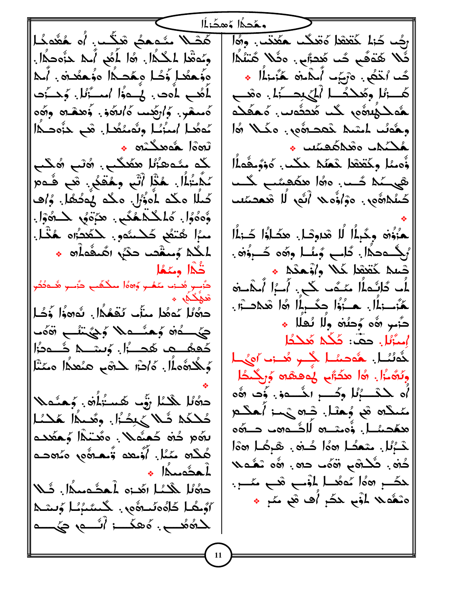وهّدما وَهدَا رَجُد حَٰہٗا خَتْعَقْعَا هَقْعَدَ حَقَّفَ وَهَا كَصْلًا مئمهجُ شَيْئَعبِ أَه هُشُمجُا وِمَوْقُط لِمَحْكُمَا. هُا لَمُعْ أَسْط حَزَّوْحَكَا. ثَلا هَدَفَ حَد مُدتَ، وَثَلا مُتَنُدًا كَبِ ٱخْتُصِ. ۞رَبِّبِ أَسْلَمِتْهِ هَٰٓزَمِيْلًا ﴾ وَذَهَقُدارَ ذُكْرًا وِهُدَهُ أَوْجُعُفُدِينَ ﴾ أَسْلَم كَسْرْمُلْ وِهُدْشًا لْمَاكِيدِيْهَا. ٥هَبِ لَمُعُبِ لَمُحَدٍ. لِمَسْوَّا استَّزَّلَا. وَحَسَّرَت هُمطهُبهُٔهِ گُد مُحثُوب. هُ هَفَطُم كَامِيقِي. وَأَرْكَضِبَ كَانَ أَمْرَةً وَجَعَفَتِهِ وَوَيَاهَ كُوهُما ٱمِنُهُا وِثُومُعُهُا. قَبِي حَزُّوصِهَا وهَّەنُ لمىشك ئىھدەُی. ەكْملا ش مُكْتُمُ وَمُعْكُفْسَة \* ثموةا هُدهكشه \* كُمْ مِنُمْعَةُلَا مِتَعَكَّبٍ. %َتَبِ %كُبِ ذُّەممُا وكَقفعَا حْ**مَ**ُك حكّى. ەُوْمِھُەلُم كَبُلِنُةُ الْمَجْلِمِ أَنَّى وِهُقَكَرٍ. هَي فُ9م تَّى مَمْ هُـــــــــ وهُ الْمَحْمَّمَــــ كَـــــ كَىنُكْلَةُومْ ، وَوْاؤُو لَا أَنَّفِي لَا قَدِيمَتَنِيت كَعِلًا مِكْمَ لِمَوْرُلِ. مِكْمَ لِمُحَصَّلٍ. وُ/َفَ وَّەەُوًّٗا. كَالْمُشْكُمْ. مَنْوَوْلِ كَلَّامُوْلْ. مبُرا هُتْعُلّ كَكْسُورٍ. كَعُدُرُه هُنَّا. هَٰٓ;ُوۡوَ وِكَٰٓبِٱ ۚ لَا قَدَوِكَـا ۖ. مَكَـاوُؕا كَـٰٓ;1َٰا لملكة وَسَغْف حَتَىٰ اصَّفْعَلُهِ ﴾ رُگُےحکَلَ. کَلب وُسُل وَهُہ کُــرِوُهَ. صْلِمْ خَقْفُوا خَلا وأَوْهِدُه \* ذَٰهَ الصَّمُا دَّسِرِ هُــٰۃِـٰ مَـُـٰمَـٰرِ وَاہءَ مـکـُـفَـٰبِ حَۂــٰرِ هُــٰدَتُـُرِ<br>تَعَهَّکُـکُمْ ۔ لَم دَٰائِماً مَعۡدَد حَـٰٓ. أَـٰٓٓٓٓٓٓا أَحۡاتِ فَ حَّنْ زَالٍ. حَــزُوُّا حِكَــزِياً! هُ! مْحَادَ اْزِ. حەُلا مُوھُدا مِنَّاب نُغْمُدًا. نُوھوُا وُحُـا حَنُبِ ۞ُه وَحَنُهَ وِلَا نُعَلَا ﴾ سەة بەلتىرىمە كەمسىمە ۋەئىسىزچ إِسْرُّلْل حقَّ: فَكُمْ مُحْدُلُ كَعفُـــم هُـــــزُا. وُبِـسْــــدْ خُـــودُرْا حَدَثَمَا. حَدَدَسًا جُسِرِ مُصنِف آهيُ ا وَلِحُدُوهَا). وَاحْرَا لِحَدْوَى عَنْعَذَا وَعَتْلَا وِنَمَّنُ!. مَا مَدَّآبِ لِمَعْدَه وَرِيْكُمَا ] أَه كَحْسَبُرُلم وكُسبِ لكُسْمَوْ. وَُت ۞هُ دەُلا لِكْتُا رُؤْمَا ھَستُوَاُفْ ِ وَحَسَّمَلا سَمَكُمْ هُمْ وُهْلًا. شَهْ يَهْمَ أَهْلُكُمْ حُكْكُمْ شَلاَ رَبِّكُمْ!. وقُصِمًا هَكْمًا ھككىئىل. ۋەتتىرە لاگىمھە كىھە ىمَمْ دُوْ كَعِنْدْ . مَعْتَمْلا وَحِفْدَ لْكَـٰزُلَا. مقعَصًا هَا أَكْـِنَ هُـرِهَا هَا هُكُلُّهُ مَمْلًا. أُؤْمِيهُ وَمُعَافَى وَمُحْصَد كُهُ: شُكْهُم هَهُ ده هُ هُ تَمُّدُ أمدُه مدَٰ) \* لحَكَـــرِ 20% مُـ2مُـــا المُوَّــــي هُـــــو مُــــو . دەُىُل لْكَــُـل آهُــ;ە لْمَــُــْمـىدُا. ثَــلا ه مَعْد الْوَج حَكَمِ أَهَا هُوَ مَدْمٍ \* آۇمگىل كاۋەئىلۇۋە . بگىشئېئىل ۇيىشى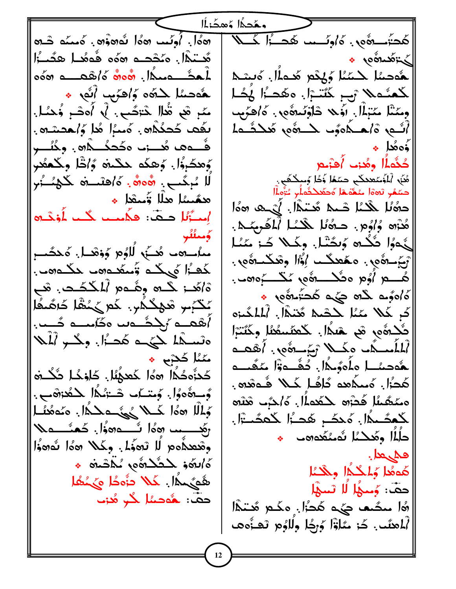وهَّجِدًا وَهِجَزَاً كَحتَن مِنْ مِنْ مَاوِنَـــب هُجَـــٰٓ; كَمَــا  $\infty$ اً . أُولُب  $\infty$  أُولُب مَعْهُ اللَّهَ \* Joansie مُحتَمَّاً. مَحْصَد 200 قُومُعا هِمَّةُ هُوصمُا حَسَمُا وَلِحْمِ هَدهِمُلَ وَسَدَمَ  $\cos \theta$   $\cos \theta$   $\sin \theta$   $\sin \theta$ هُ رِمَّا لِحِمَّهِ وَاصْحِبِ أَنَّهِ ﴾ لَحْمُدُهِ `` رَبِّ كُنْتُ إِ. هِ هُدُ أَ لَهُ صَلَّ مَّمِ هُو قُطْلَ حْتِكَبِ. ﴾ أُوصْعِ وُحْسًا. وِسَنْنَا سَبْرِلَمَالِ. اوَّىلا خَاوْنَىشَى، كَافْتَوْب بَقْفَ خَصَكُمُونَ وَسَرًّا هُلَّ وَالْعَصْبُونَ. أَنَّـمٍ وْأَهْــكُوْمٍ ۖ كَــوْهِ مَكْـدَّــوا  $\bullet$   $\bullet$   $\bullet$   $\bullet$   $\bullet$ ڤـــەم مُــــزم ەكـحكــــدە. وحُلُــــو حُذُماُ وهُنِ أُهْنِم وَهكروُّا. وَهكُمْ حَكْمَةً وَٱخْا وَخَعْفُدٍ هُنَّه ٱللَّامَعُنْدَكَبِ حَسَّمًا أَذَٰلَٰا وَسَكَنَّفٍ.<br>حَسَّمُو تَحَوَّا سُمَّفَـقَا فَحَقَّدَخُمَلُو سُرّْهِاْ لَّا مُرِكَّىبٍ. ۞ه۞. هُ/هِنْسِـنَ كَلِّهُــُّبَرِ همُسْدًا هلا وُسْعْدا ﴾ حمُّل لَكْسًا صْلا مُتَمَّا. لَيْ هِ مَا إستَّرْمًا حتَّة: فكسب لكب لمُؤخَّره هُنْزَه وُاوُم. دهُلا هُنا الْمُفْرِسُمْ. ۇمىلُلُو يُوءُل ثَكْـرَ وَبِكَتْـل. وكَــلا كَــز مَعْـل مىاسىھە ھُنَّى اَلھُوم وُوْھْما. كَاحْصُب تَيَهْدِقُومٍ. مَعْصِكْمِبِ إِذًا وَتَعَكْسُوهُومٍ. كَعَلَّا مَيْكُمْ وَمُتَعَمَّدُهُ لَكُمْ مَتَّلَمُونَ. كُمْ هُمْ الْوُمْ وَهَكْمْ وَقُومٍ كُمْكْتَ وَوَوْمٍ. ةُ/هَـٰـٰٓ; لَكُـٰدُهُ وِهُـُـٰهُمْ أَلْمَلْكُـُـُدٌ. شَمّ هُ اووُم ذَلِهِ حَيْمٍ هُدَّ مَوْمِهِ ﴾ ِّىٰدَّبِ شَهْكُمُرٍ. ۚ كُمْ كَمُشَّا كَامُحُفَّا أَكْرِ كَلاَ مَمْا كِصْدْ مُتَمَّالِ ٱلْمُكَنَّوَ أَهْمَــهِ رُبْكَــُــهِ مَكَامِـــهِ كَـــب. ضَحْدَةُورٍ هَي هَلاَا لِمَحْصَلِمُعُمُا وَخَنْتَهَا ه تسكُّله حيَّى ه هُدُرًا. وحُسِرَ المَكَّسَرَ أَلْمَلْمَسَمَّدَ مَكَنَّلاً تَهَيْسَوْهُمْ. أَهْمَـد مَمْلاً كَحْرَبِ \* ِ هُوَجِيْنَا وَأُوَوُنَدًا . دُفْـَوَوْٓا مَنْقُبَـو كَحزُّەكُداً ۞هُا خَعجُهُمْا. كَاوْحُـا شُكْــة كَحَزَا. كَسِيَاهِم كَافُط كَلا قُـهِ هُده. وُ؎ەُدۇل ۇمتىگ شىزىگالكىگىز ھىبى مْتَشَمَّلْ فَتَّزَه كَتَعْمَلُا. هَاجَبَ مَّتَه لْمَنْهُ مِنْ الْمُسْمَدِينِ مُسْتَدَارِ. وَمُوَهُنَا كْمِصْـٰماْل مْحْصُر هُدْرَا كْمِصْـْرَال رَهُـــبِــبه هِهُ أَــُــــهِهُوا). كَـعنُــــمْلا حلُلُه وهُكِمًا نُصَمُعُدهم من \* وثنعداً وهو الا نُرْوَدُ . وكَلا 16% نُورُوُا والصركم كَاللَّهُ وَ حَشَكْتُهُمْ يُكْشَفُونَ \* كَمَعُل وَلِمُحْكُلا وِلِحْمَلا المُدْرَه الْمُعَ اللهُ . الْمُعرَّمَةُ حقَّ: وُسِيُّا لَا تَسِيُّا حقّ : هُوصمُا لَّكُو هُزَت هُا مِثْمُ صَدْمٍ مَدْرًا. وَكُمْ هُنْدًا ٱلْمَعْنَـٰ. كَـٰٓ; مُنَاوَّا وَٰٓرِكَا وِلَاوُم تَعَـَّوْهَت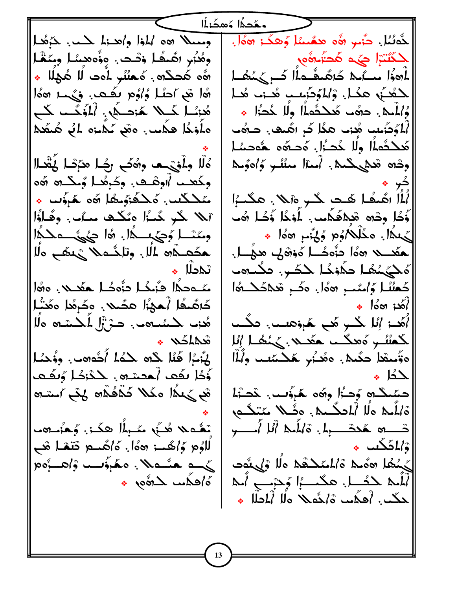وهّدما وَهدَا لْحُونُمَا. دُمْسِ ۞ مصَّىمًا وُهكَمْ ۞ ال وسملاً 00 /اوا و/هنا لمساء حَرِّهُما وهُنُن اكْتَفَا وْتْتْ. وِوْْوْهْنَا وْتَنْقْلْ لاكتُتْ هَيْءَ هُجَنُّدُهُ رَّةُهِ كَحِكْمٌ. هُمْلُو لِمُوتَ لَا هُمْلًا ﴾ لْمَوْمَ الْمَسْتَمَامَ الْمَسْتَحْدَا الْمَسْرِجَ كَمَنْتُمَا هَٰا هُمْ ٱحنُا وُٱوُم بِفَـم. وَيُـما هِهَا لِكْعُنُو هَكُلْ: وْٱلْمُؤْهَّنِيتِ هُــْتِ هُـا وُالْمَلْحِ. حَثَّفَ هُكْشُمَاً وَلَا خُصَّا \* هُذِبًا كَمِلاً هَٰذِكَيْنِ ٱلْمُؤَكَّبِ كُلِّ مأَوْلُمْ فَكُاسٍ. وَهُمْ كَكَامَوْهِ لَمْ كُمَكُلَّهُ ٱلْمُوَدِّيبِ هُٰذِبِ هَٰذَا کَمِ اهْبِعِي. حَاهُب هَٰذَهُماُ! وَلَا خُدَءُ!. هُدَهُه هُوَدِسُو! هْلًا وِلْمَيْء وهُكَ رِكْمًا هَزَمْا لِمُقْدَأ ودْرَه مْلِيكْمِلْهِ. أَسْلَا سْلَكْبِ وَادْوُمْ وكُعب أَآوهُـڡ. وكَرِمُنا وُبِكْـهِ هَه ٱلۡلَّا امَّـفَـا هَـت حُـرِ هَلا . مكْـــرَّا مَكْكُفٍ. هُكْفُرُوْمِطًا هُوَ هُرُوُكِ \* أملا لكو حُسُرًا هُكْسُ مِسَرَى. وِقَاؤُا ذُكُلُّ وَحْدَهُ مُجْدَفِّكُمْسٍ. لَمُؤَجَّلُ ذُكُلُّ رُهُت لِّيْمَالِ مِكْلَمَاوُمٍ وُلِيَّتِهِ مِنْ لَهُمْ ومَعْسَا وَجَهْدِ أَنْ الْمُسْرِجَةِ الْمَحْمَدِ ا الْمَ صِحْمَى مِنْ الْمَدْدِينَ مِنْ الْمَدْهُمْ وَالْمَدْمَامَ مِنْ الْمَدْمَامَ مِنْ ەْكَهُمُعًا ھەدْما كەش. ھىسەت ثلاجلا \* مَّــوَدُّا قَبْدُ ا دَزْوَدُ ا هَمُحِــلا . وَوَّا كَعْشَا وَاْسْمَى 10\$. 5كَمْ شَدْكَكْتْدَا كَرْهَبْهَا أَنْعَجْزًا هَشُيلًا وَ مَجْرَهُا وَهُنْتُنَا း ၂၀၀ ဆုံ هُذَب لِمُسْدَهَبٍ. حَتَّى الْمُمْسَدَهُ وَلَا أَهُد: إِمَّا لَكُسٍ هُنَّ لَمُّوْهَفٍ. فَكُسَب لَّحْسُنُــرِ هَعْــُــد حَفَــدٌ. كَمُعْـا إِنَّا مْدالكد م لِئُبُرا فَعُل كُلُّه حَكُما أَخْوهب. وفُحْما وَقُسْقُلُ حَكْمًا. وَهُذُرِ هَكْسُبَ وَٱلْمَا وُّكُل بِكُعب أُحْمَدَ و . حَكْرُكُم وَبِكُتَ حدُا ﴾ شمسه بَكَل هَدَّهُكُمْ كَلَمْهِ الْمُعْرِبَةَ حسَّمَكُمْ وَحَـزًا وِهُمْ هَٰذَوَنَـبٍ. خَجَـزْهُ هْ الْمَامَ الْمَاحِكْسِمْ. مِثْلًا مَتَكُمْ تِمْـدِ لَا يُعْبِ مَــرِمُّا هِكَـزٍ. وَحَزَــهِ لَلوُم وُاهُم؛ هِءَا. هَاهُمو تَتَمَّا هُب أة/لمكّكب \* كەشرىق كام مۇكىنىدا، مەمە مەنىز حَيْثَ هَشُدْهَ لَا ، مَكْرَؤُنسَتْ وْأَهْشَرْهُمْ أَلْمَا حَدًا. مَكَبْ! وَحَبْبِ أَمَّ ەكمىس كەھەب حكَّبٍ. أَفْجُمْتَ ةَاتَّقُطْ وَلَا أَلْمَظَلَ \*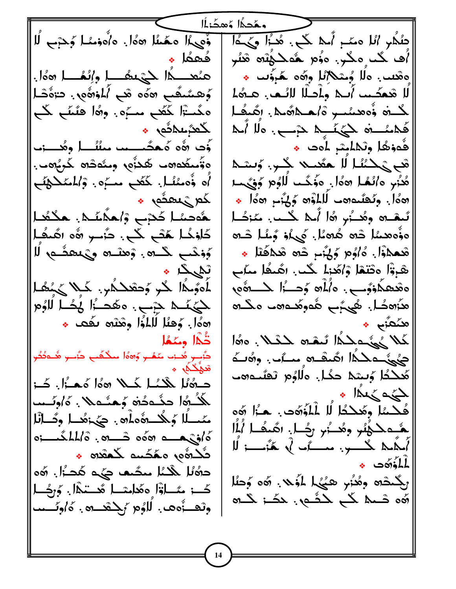| الْمَصْدَمُ الْمَصْدَمُ الْمَصْدَمُ الْمَصْدَمُ مِنْ الْمَصْدَمُ مِنْ الْمَصْدَمِ مِنْ الْمَصْدَمِ مِنْ ا<br>اللّه عَنْدُ الْمَحْكَمَ الْمَحْكَمِ الْمَعْمَلُ اللّهِ مِنْ الْمَحْمَدِ الْمَجْمَعِينَ الْمَالِينَ مِنْ الْمَ |                                                                   |
|-----------------------------------------------------------------------------------------------------------------------------------------------------------------------------------------------------------------------------|-------------------------------------------------------------------|
|                                                                                                                                                                                                                             | تَلَكُم الْمَا مَمَّـ إِلَىٰ كَلَّىٰ اللَّهُ وَيُحَافِظُ          |
| دُهكا * المُهمَّد                                                                                                                                                                                                           | أَفْ كُتْ مِكْتُرٍ. ەَؤْمْ خُمْكَكُلُهُ شَقْلُو                   |
| هناه السلماني بالمستشكر المستعلم                                                                                                                                                                                            | وەتت دا ۇيتىگانا وئەد ئىرۇپ ھ                                     |
| وُهِسُمُهِ وَهُوَ هُمِ ٱلْمُؤْهُوبِ. تَوَوُّصُلُ                                                                                                                                                                            | لا مْحَصَّىب أنبا ولمصلا للنُبعي. حَبْهَا                         |
| ەڭستار كَتَف مىيە. وَقَا قَتَسَكَ كُلّ                                                                                                                                                                                      | كْتْ ۋەھىئىپ دْاھىلاشىلا. بْكَىفْل                                |
| <b>َكَعَثَرِعَلاَحُورِ * *</b>                                                                                                                                                                                              | كما لماه . سِبْكِ كَسِيْرِكْمْ هُوَ الْمَاءُ أَسْدًا              |
| ؤَدَ ۞ُهُ هُـمحُــــب مثلُـــا وِهُـــزب                                                                                                                                                                                    | قُەزىگا وڭللېتىر لمەت ھ                                           |
| وَقَسَعُدُونَ مُحَدَّقٍ وَسَدَدُوا لَكُرْبُونَ.                                                                                                                                                                             | مْسِي كِيْسَاءِ لَا حَقَّصِيهِ كَيْسٍ. وَيَشْيَدُ                 |
| أَه وْْهِمْلُـا. كَتْفِ مِــَرِهِ. وْالْمَعْـٰـٰهَيْـِ                                                                                                                                                                      | ھُنُو وائُھًا ھوا. وَذَكَّى لَاوُم وَفِيَّى ا                     |
| da Jacob, a la partida                                                                                                                                                                                                      | اردُ وَنُعْسُمُهُمْ لِلْمُؤْمَنُ وَلِيُوْمِ وَالْمُؤْمَنَ ﴾ [الله |
| هُوصِمًا كُدْبِ وْاهْلَمْكُمْ. هَكْفُدا                                                                                                                                                                                     | لَّىقىھ وِھُــُو ھُا اُمكا كَـــَــَ مَنْزَكَــا                  |
| كَافِكُمْ هُتَّى كُلِّي. حَنْصِرِ ۞ه اكْتَفْلِ                                                                                                                                                                              | ەۋەھىئا خەي كەمئل. كېلۇ گېنىل خىھ                                 |
| بَوْهُبِ كَــْهِ ـ وْهَــْهِ وْيَعْصَبُ لِمَا مِنْ مِنْ مِنْ                                                                                                                                                                | هُعَمَاؤًا. دُاوُم وَلِئُبِ دُه مُدَافَقًا *                      |
| ثكىكا *<br>لَمَوۡمِكۡا كُنِ وَحِقۡلِـكُمِنِ. كَـبِلا كَجۡمَعُـل                                                                                                                                                             | َّتْقِرَةُا وَثَنَّقَا وْاهْدَا ݣُــا. امَّـفَا مألب              |
|                                                                                                                                                                                                                             | ەھْھكۈۋىپ . ەڭلە ۋېسازا كىسۇە                                     |
| لْحَكِمَكُمْ حَبَّبٍ. مَعْصَدُ لَهْصًا لَلْوُم                                                                                                                                                                              | مَنْھڪَلَ. ھُي ُبِ هُووَمَدومت مڪنو                               |
| هِ أَلْ وَهِمُا لَلْلُؤُا وِهْنُو بِفَعْبٍ *                                                                                                                                                                                | $ \alpha\lambda ^2$                                               |
| ذُكَرًا وسُمْأَ                                                                                                                                                                                                             | كَمَا يُهْمَكُمُ تَمْصُرُ الْمُكْمَنِينَ مَلْكًا . هَذَا          |
| دَّبِــرِ هُــزما مَعْــرِ وَ3% مىڭگىب دَّنــر هُــدَّكْر  <br>شۇڭگە م                                                                                                                                                      | حْيَاهُكُمْ الْمُنْقَّدِ مِسْآمٍ. وِهُنَّهُ                       |
| حسوُمُل لِلْمُمُمَل لَمِيلًا هَوَٰا وَحِسَرًٰا. كَن                                                                                                                                                                         | كَعْلَـكُمْ وَيَسْمَدْ حَكَـلٌ. وَلَلْوُمْ نَعْشَـدْهُ            |
| لَكُــُهُ  حَثَّــُدَدُهُ وَـعَــُـمَــلاً . هُ/وئـــب                                                                                                                                                                      | All + Ing                                                         |
| مَعْسِلًا وَكُلْتُوْهِ أَمَرَ مِنْ ذِهْرِ وَكُلْأَمْلَ                                                                                                                                                                      | هُكْسُلٌ وِهُكْدُا لَا لْمُلَوَّهُ بِ حَيَّا هُو                  |
| 0; المكاملات . 0, -0 000 مسعر ً0                                                                                                                                                                                            | هُــِـمكـٰهُلُو وهُـــاُو رَكَــا. امَّـمُكَــا ٱلْمَا            |
| طُّدةُه، مَعَكَسه لَكَعْفَلِهِ *                                                                                                                                                                                            | أمكامكا لكسسو. معسَّدُ لَى هَنْمِسْمَ لَل                         |
| حمْلًا حَكْمًا سَحَّت حَيْجَ كَحَزًا. هَءَ                                                                                                                                                                                  | آراؤەك پە                                                         |
| كَةِ مُطَاوَّا وَهَامِيْهَا هُسْتَمَّالٌ وَرَكْبَهِ                                                                                                                                                                         | رِكْبِحْمِ وِهُنُو هِيُهَا لِمُؤَلِّدٍ. هُم وَحَلَّا              |
| وِلْصَـٰٓؤُهِنَ. لَاوُمِ رُكِـتَعَــِهِ. وَاوِنَـــب                                                                                                                                                                        | هُه صْمِمْ كُلّْعِ لْمُشْمَعِ. هَضْهْ كَلّْـه                     |
|                                                                                                                                                                                                                             |                                                                   |
| $\bigcap_{14}$                                                                                                                                                                                                              |                                                                   |
|                                                                                                                                                                                                                             |                                                                   |

 $14$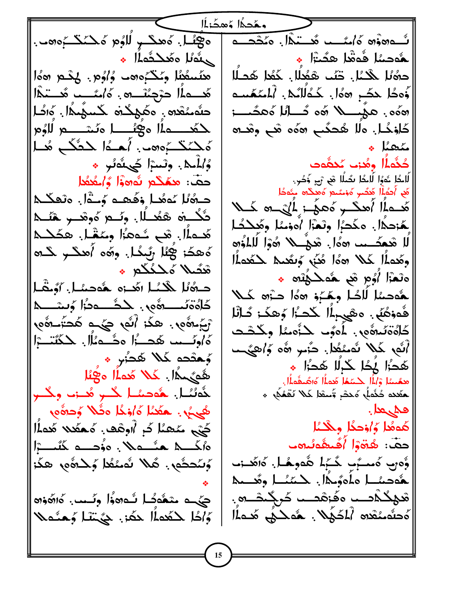وهّدما وَهدّنا ەڭلا. ەھكىر لاۇم كىككەمە. ئَــووْو وَامْـــ مَّــتمْلْ. وَخَصَــو لِمُقْتُلُهُ مَعَلَّكُمُ مَا أَهْلِي هُدملا فُوشًا هدُنْ \* حەُلا گْتْلا. تْتَبْ ھْغْلَا. كْغُدا ھْجلَا هلَسِمُعُلَم وَمُكْرَدِهِ وَأَوْمٍ. لَمِكْمِ هَذَا ذَهكا حَكَمٍ هدًا. خَذُلَكُمْ. أَمْسَعُست حَقْمُتْعَةِ ۚ وَهَٰهُكُمْ كُنْتُهُمْ ۚ وَاصُلَّا 800 ). عَنْجِيمًا ۚ هُه كَــالَا هُهَـُــــــز كَافِكُـا. وَلَا هُـْحَكَـٰبِ ۞وَه شَبِ وِشْـ۞ لحَمْدَ والْمُحَمَّلُ الْمُسْدَّمِ لَلْوُمِّ ەَكْتْكَرەھە. أَهْدُا جْثُكُم هُـا مقحقا ه | كُثْمَلُّا| وهُزم كَحْقُوب وُٱلْمَاءِ. وِتَسَرَّا كَهَدُو \* لَٰامُلِ هُوُا لَٰامُا نَصَلًا هُى رَٓج ذَٰحُر. حقّ مككّم ثَهوْزًا وُالْمُعْمَار هُم أَتَّمُلْلُ هُتَس هُوْمَنْنَ هُوَمَنْنَ عَلَيْهِ مُتَّذَكُرُونَ مُتَوَجَّل دەُنُا غەمْدا وْھُھە وُتْدَا. ەتقىد كَعَسْفَا أَهْلَكَ وَكُمْ فَيْ أَيْنَ مِنْ كَمَثَلَهُ تُكْبِهْ هْقُلَّال. وِنُــع هُوهْـــو هْنُــدْ ِهَٰٓ;حَدًا ، مَكَحَرُا وِتَعَزَّا ِٱوۡذِمَا وَمَٰلِكُمَا هُدهاًا. هُبِ شُوهرًا ومَنْقَا. هكَنْدُ لَا مْعَصًـــب هوَا. مْكُــْـلا هُوْا لَالْمُوه ەَھكَ; ݣَݣَالْ رَبُىكْل. وەُه أَهْكْس كْتَه وهَدماً كَلاَ 30\$ هُزَى وَيَعْدِمُ لِلْكَدِمَا شَكْلا هَلْمُلْكُمْ \* ەتعْزَا أُوُم هُمْ حُمْكَيْتُه ﴾ حـهُمُا ۖ حَكْسُا آهَــزه ۖ حَمَحَسُـاً. ٱوُخْمَـا هُوصمُلُ لَاحُلُ وِهُبُوْ 100 حـَرْهِ كَــلا كَاهُةتُمْسَدِهُم، . حَدَّسَـهِدُا وَبِسْـَــِـهِ قُودُهُهُ . وَهْيَجِبْلَا كُلْحَنَّا وُهكُمْ كَالْلَا كَاەْتَكْتُەم. لَمْوُتْ كَنُّەمْدَا وِكْتْتْت دُاوِيَـــب هُجـــزُا وخُــوبُلاً. حكِيَّتـــرَا أَلَٰهٌ كَلاَ نُوْسُوُداً. حَنُوبِ 60 وَأَهْتَهَـب كَرْهِتْدَهُ لَمَلاً هَدُّو \* هَدُا لَمِحًا كَبِلًا هَدُا ﴾ المُعْنُ مِنْ الْمَسْرَعِةُ الْمُسْرَعِةُ همُسْدُ وَ}1ًا كَسَمًا هُداًا هَاهُدفًا. حَْهَنُمَا. حَْهَدِسُا حُسْرِ هُــزَب وِحْسَرِ حَقَّده كُذُهَلُ هَدَءَ تُسْقَط كَلا تَقْفُلُ ﴾ هُيمُو . هَعُنُدُ هُ/وَجُدُ هَفُلاً وَحِثَمَوهِ . وبلصرهه كَمَعُدا وُاوْحَكَا وِلِكَنَا كَيْمٍ مَعْصَلاً كَمِ أَآوِهُفَ. هُ هَعُلاً هُدَلَٰا حقَّ: هُوَّوَا أُقَّىٰهُمُلُوم ەككى ھىگىمىلا ، ەۋھىم كَتَبْسْرَا وُّەن ەَمىبُّ كَبُل ھُەمِھْل. ەَاھَىزم وَسَٰحِثَمٍ. مَلا شَمْعُل وَلِحِدةَمٍ هِكَ; هُوصسُا وآوُوهُا. كَمَنْكُمْ وِقُصِيدًا شهككصب ەقزۇھى كىگىشى . كَيْتُ مْتْغُدْدَا شُدْهْوَا وِتْسْبْ. كَاهُوْلَا كَحتَمَىْتَدْدَە لْمُكَمِّلاً. هُمَكْنِي هُدماًا وُاحًا لِحَمْدِمًا حَمَّةٍ. حَيْتَمَا وَحَسَّدِ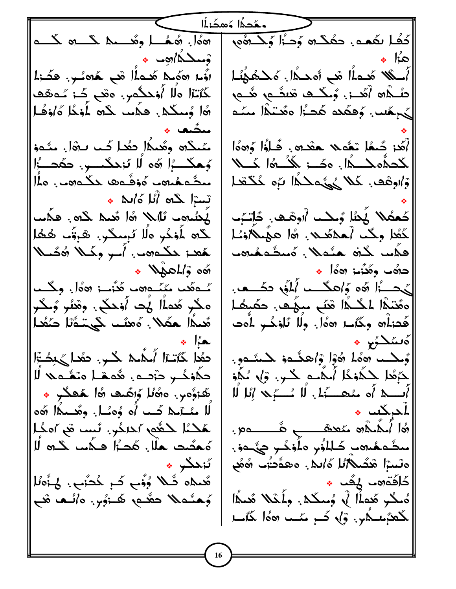وهّدما وَهدَا كَفَّا بَعْمِهِ. حَقُدُه وَجَزًا وَحَدَّثَهَم وْسِلْلْمَارْهِ \* مدًّا \* أَسْلَلًا مُدَمَّاً شَي أَهْدَدًا. هَكْشُوهُمْ اذُما 30مَكا هُدهاً هُد هُيمُومُ وَ عَدْمَهُ طُــدَّاه أَهُـــز. وُـكْــف مْلكُــمٍ هُــمٍ كَتَتَا وَلَا أَوْحَكُمْ وَوْمَعَ كُمْ كُوهُفْ لَّحِيمَّتِ وَقِعَدِهِ مَدَّرًا مَعْتَمَّا مِنَّد ھًا وُسكُمْ. فَكُلَّب كُلُّه لَمْوَكُمْ كَاوَقُـا مىگىمە ھ مَّىكُلُّه وِمُّىلًا تَمُّل كَب بِـ16. مِنْدَوْ |أَهَٰذِ كَنِعًا تَعْقَلُهُ حَقْدِهِ . قَبَاؤُا وَهَوَا كَحِدُّهِ حَـــدُا. هَـَــز كُنُـــرُهُ! يَـــلا وَهكْـــرًا هَ٥ لَا تَبْتَكْـــــــو. حَكْتـــزًا وْااوِتْكَ. يَمَلْا يُهْدَدُهُمْ لَكُمْ يَحْكَمُلْكُمْ وَالْمَحْتَ مَدَّدَهُمُهُ وَدُّدْتُ مِنْ مَكْتُمُهُ وَمِلَّا تسرًا كله أَمَّا هَالِهِ \* كَعِمُلا يُحِمُّل وُحِكِت أَاوِمْكِ. كَاتِبَت يُحسُده لَأَالًا هُ أَهْدَا هُدَا وَ وَهُد كَفُل وكُب أَحْلَفُكِ. 6 مِنْ الْمَحْلَفُ َكُلُّه ۖ أُوْخُرِ وَلَا يُسِكُرٍ. شَرْوَٰٮ شُمُّا فكُلِب لْمُنْهُ هِنُمْلًا ، كَمْحُمْمُوم كَمَعْدَ حَكْمَهْدَ. أُسِو وَكَمَلاً هُكَسْلًا  $\rightarrow$   $\lambda \lambda$ o $\lambda$ / $\hat{\rho}$  og | دەُب وَهُنْز (30 ھ كحسأا هُه وَاعْكَسَبَ أَلَمَقَ حَصَيْفٍ. ئىمكىي مئتىمەم كَذَب: 10%. وڭىي هِمَّتْمَا لِمُحْكُمَا هَنِّي مِيهُد، حَكْمِهُا ەڭد ئەھلا كە /ۇھگى. وقىلُو ۇمگىر مَعْدَمَ الْمُسْرِبُكُمْ سَنْمَهُ . كَلِيَحْمَدُ الْمَعْدَ كَحزلُه وكَدَّس هوُا. وِلَا تَلْفِخُم لِمُوت  $\cdot$   $\sim$ حہُ ا حَعُل كَتَتَالُ أَحدُكُمْ حُصْرٍ. حَعُدلٌ كَعِدْتِهِ ۖ وُمِنْتَ 1،0\$ 1،0\$ وَأَهْدُوا مِنْكُومَ بِمَسْتَدَوِي حَرَّهُا حَـٰدُوَحُا أَحدُّے حُـُـرٍ. وَلِي مُجُوَ حكَفِيحُـــر حَوْصـــه . هُـمَــهَــا مثمّــه ملا لَل أَبِ 1⁄2 أَه مُنْهِ }! . لَا يُسبِّيهِ إِمَّا لَا ِكَمْوُومِ. وَهُلاَ وُاكْتَفْ هَٰا هُڪْرِ ﴾ لَا مُسْآمِدٌ كَــَـدٍ أَهْ وُهْسًا. وِهُــمدًّا هُه المدلك \* هَا أَحَمْحَهُ مَعْدَهُ مِنْ مَصْرٍ. كَمَحْمًا حَــــُمَّـــــهِ ٱلْحَدِيْثِ لَيْسَبِّ ثَمَّ ٱلْمَجْــِــا مىشەھلىھىي كىللۇپ ەلمۈكىپ چېچەڧ. هُهمَّد هلا. هُدءُ! فَهُما كُلُوهُ لَا ئېدگىر ھ ەلْسْرًا مْكُىلالْمَا ەُابْد. ەھەُتْت ھُھُج مُّدهه شُلا وُوُّب کَ ٖ دُدُّب ﴾ وُوْبا هُىكُمْ هُدَاًا ﴾ وُسكُمْ. وِلَمْمْلا مُحَمَّا وُهنُـه\\ حَقُـهِ هَـ;وُب. ه/لُـهـ، شَـح گھڑىلىگى. ۋاپ كىر مىل ھەڭ گەلى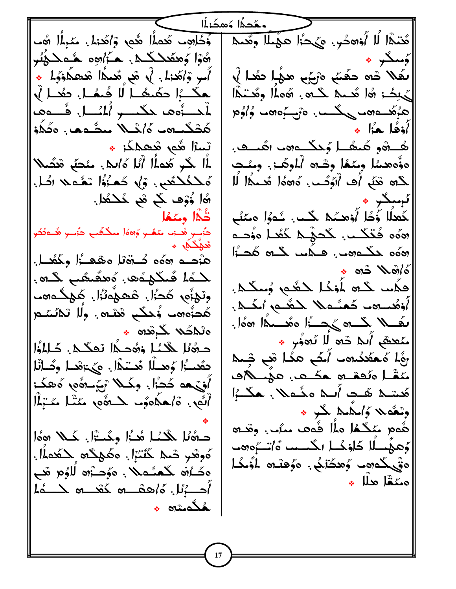وهّدما وَهدَا مَّنْمَا لَا أُوْهِحُو. ۞كِحَٰٓا هِهَْمِلَا وِهُمْهَ وُّڪَاهِب هُدماُ! هُدِ وُ}هُدنا ۽ مُنبِاُ! هُب هُوْا وُهِفُلْكُمْ. هُزَاهِهِ هُـُمْلَكُمْ |ۇسگو ÷ أَمِرٍ وَأَهْدَاءِ. إِنَّ هُمْ هُدِهَٰا هُدِهِكُمْوَوْلَ \* لَّفُلا دُه حَقْبٌ هُرْجٌ مِنْهَا تَعُدَلُ ﴾ هكْـــرُا حكَمْعًــا لَا فُـمْــا. تعُنــا لَ جَمِعْـ: ﴿ أَهُمْ حَمْدٍ حَمْدٍ ﴾ [الله عنهم] ومُصْنَحْ أُحِـــَّأه حَكَـــــرِ ٱلْمُـــالِ. هُـــــمِّ  $\alpha_1^2$ מלך באסק $\alpha_2$  . כלל האשר האלך كَتْݣْسِرْهْبْ ذَاكْسْلَا سْتّْبْعْفْ. ەكْلَاۋ أأذقًا هُزَا ﴾ تَسْأَلُ هُومٍ هُدهِهْكُمْ \* ئُفْتُومٍ كَمِنْقُمَا وُحِكْتُمُومَا اتَّمْتُكَ. لَمَا لَكُمْ هُدَاً الْمُأَ هَالِي. مُنْجَلٌ هُكُنا ا ەۋەھىئا ومئىھا وشىھ آلموڭىز. ومئىت َهۡكَـٰكُـٰكَـٰبِ. وۡ﴾ كَعُـٰٓزُٰٓٓا تَـُقُـٰهَـٰ اتَّـٰلَ. كُلُّهُ هُلُّي أَفْ أَآوُكُت، هُ‰ا مُحَمَّا لَل هَٰا وُوۡفَ کُمۡ هُمۡ مُکۡـٰعُدَا ۖ. ئېمگې پ لَكُعلًا أَوْحًا أَوْهِــُـهِ لَـُـبٍ. شُووُا وَمَنُـح ذُكرا وحَمْلا -<br>دَّىـــو هُـــزى مَـَــهُــو وَهوَا مىڭــھَــى حَبَـــو هُـــوصُـُو<br>هوڭــكـمُه \* هَهُه فُتَكَـب. كَحَهْـه كَعُبا هُوَجـه الأمَّاه مكتَّدها والمُعامل من الله مَصرًّا هنَّوے هوُه دُــوٓنَا هڪُوــزُا وِلَحُعُــا.  $\cdot$  of Nor $\delta$ لْمُمْ فَىكْلِمُصْ. ەُھقىقىم كەن. فكُس لَاه لَمَوْهُا لِمَعْنِي وُسِكْلًا. وِتَهِزُّهِ، هَدُا. هُهِهْمُوُّا. هُهِكُـوهِب أَوْهُدِ وَصَدَّدُ الْمُشْدَمِينَ مِنْ الْمُسْدَمِ. كَحزُّه۞ ذُككُم هْلُـ۞. وِلَا لَـٰائِـُمُـٰـمِ بَقْطِ كَــِةٍ كَيْحَــُّزْ مَــُّدَ الْمَــْفَا. ەلككلا كمرشرى \* مَعدهی أَبط دَه لَا تَهوُمِ \* دهُلا هُنا وهُددًا تَعكّم. حَالمُوا رَّهُا هُمعُدُ هَ أَمَٰى هَٰا شٍ شَۭ حَعْمِـزًا وَهِــلَا هُــتَـهْا. ۞ تَوْتَحَـلْ وَصَـانًا مَقْاً مَتَعْقَدِهِ حَكَمٍ. مَهْلَلاَف أَوْيَهُمْ كُدُرًا. وِكَمْلاً تَرَيْسَةُمْ وَهُدَا هُسْمُ هُد أَسِمْ مِنْدِمًا . هَذْبًا أَلْبَهِ فَأَحْذَوْبِ لِمَدْوَّةٍ مِنْتَمَا مَتَبَاطِ وتعُدى وَالْمَلْكِ كُلِّ \* هُوم سِّكْعُلُ ولَمَا هُوم سَلَفٍ. وقَدْه حِيثَهُمَا لِلْكُمُلِ هُذًا وِجُسْتَابِ كَمِلًا هِدًا وُهِهُمِلًا خَاوَجُمَا الْحُمْسِينَ وَٱسْتَرْوَهُمْ هُوهُدٍ صْمْ كُتْتِرًا. هِكُمْكُمْ كَكُمْلًا. ەق كەھە كېھكتانگى. دۆھلىھ لمۇمگى ەڭسان كىمئىمىلا . ەۆھىزە للۇم شى مئةًا هلًا \* أحسارًا. هَا هِمْسِ هِ كَعْسِهِ كَسَمًا \* oûsîk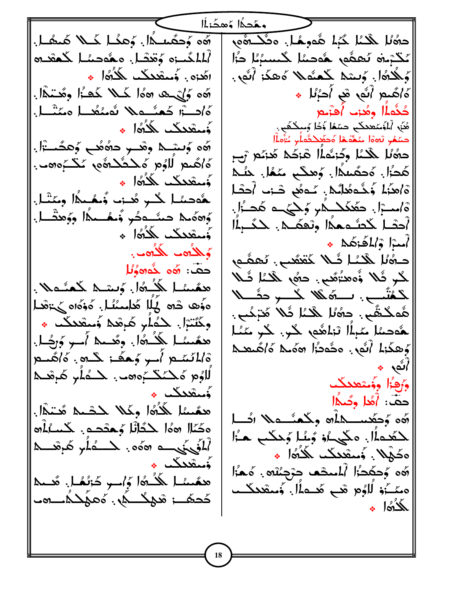وهّدما وَهدَا ەُە وُحِكْمِنِــدًا. وُهْــا كَـــلا كَنْجَــا. دەُنا لَكْنَا كَبَا هُموهْا. ەنگەۋە هْلَمْشُدُه وَتَعْصًا. مَعْقَصْدًا لَحْمَقْدِهِ كَذَبَــزة تُـعفُم هُوجِـبُل كُـبِسبُنُل جُرْا وَلِكُلُّهَا. وَسَيْمَ لَكُمُنَّهُ لَا هُڪُمْ أَنَّهِ. اهُدو، وُسڤددگ لگُهُ/ \* هُهِ وَإِنَّ هُهُ أَهْدًا لَكُمْ لَمُعَةُ وَهُنَّمْ!. أَهُ/هُبِم أَنَّهٖ هُي أَحَزُنُا ﴾ كَثْمَلَا وهُنِ أَقْنُمِ كَافِسْ وَاحْمُسُمْلًا بِفَعْفُصَا مِنْشَارِ. هُنَّهُ ٱللَّاضَعُدكَـــ دسَمُا أَذَٰا وَسككَـــدٍ.<br>دسَمُر ثَــهِ أَ سُمَّدَهَا وَحَكِّلاَثَــدار خُتَّمَالُ وُسقَعْكَمَا لَمَدُّهُ ﴾ هُه وُبِشِيمْ وِمْسِ دِهُمُبٍ وُهَشَبٍّ!. حمُّلًا ۖ هُنَّا ۖ وِكِّنَّمَاۢ الْمُزَكَّدُ مَّننَع ۚ رَبِ ەُ/مُىم لَارُم ەَكْتَكْرُە كَكَرُە مِنْ. كَحَرَٰا. ۚ وَحَكَمِيكَا. وَهكَ مَعْمَا. حَلْكَ وُسقَدْكُمْ لَلْأَهُ \* \* أَهْلَائُمْ أَوْحُدُهُلْكُمْ. ضُمْعُوا صَّنِ أَحْصًا حَدْدَسُا لِحُسِنِ هُدَيْتِ وُحَصَّدُا وَعَشَارٍ. ة/مسرًا. حَعْكَلَـــكُمْ وَلَكَيْـــه كَحــزًا. وُ۞هُما حَسَّـٰهجُمْ وُمصُـٰماً وَوُهتَـٰـاً. أَحْصًا لَحْشُمِهِ\$ا وتَعَصَّــمْ. حَكَــرةُا وُسقىنگ لَمَدُّهُ \* أأسرًا وْالْمُوْهَمْ \* كوبلام المكنوب حەُمُا لِمُسْلَم شَلا خَتْشَمْبِ. نُمْقُمِ لْكُمْ قُلًّا وُّءَهْنُوْهُمْ . حَيُّ لَمْكُمْ قُـلًا ھمَسُل لَكُـ16. وَىسْـط كَعنُـ24 . كَمُنْسَبٍ. يَسْتَهَمْ لاَ كُسْسٍ حَشْسًا لاَ دَوَّت شَهْرٍ مَاهُمْ اللَّهُ اللَّهُ هُشَاءُ اللَّهُ مِنْ اللَّهُ مِنْ اللَّهُ مِنْ مِنْ مِنْ اللَّ هُمكْشُّى حِمُّلًا حُكْمًا ثُلاً مَّتِبْكَى ۖ. وكَتْتْرَا. حْكُلُو كْرْشْهْ وْسْقْعْكْتْ \* هُوصِمُا مَبْرِلًا تَهْلُغُونَ كُنْ كُلّْ مَمْتُلْ همْسُل لَكُـرُهُ|. وِهُــمه أُسـو وُرِجُــل. كَمِعْدُمْ أَلْقَهِ . وَشُوتُهُ أَمْرَهُمْ كَاكُمْتِهِمْ ةُالمَنْسُم أُسِرٍ وَهِقَةٍ كُلُّهِ ، هَٰاهُسُمْ  $\sim$  (21 لَّاوُم مَكْنَكَ وَهَبَ. كَــُمَلُو كَبِرْهَــِدَ وَرَجْزًا وَوُسْعَدِكَب indelle : حقّ: أَهُل وصَّهُا همُسُلم لَهُدُهُ! وكَلا لِمَصْدِ هُتَمْلَ هُه وَحَكْسِـــــدْلُه وكُــْمِشْـــه لا اتُــــا ەڭگال ھەرا خىڭلانا ۇھقصە . ڭىسللەھ لِكَعْدِلًا. دِكْيِكُوْ وُسُلَّا وُحِكْبٍ هِـزًا ممستقبض بالمشك وهفه مسرير وفملأ ەككىلا. ۆمىقىنىڭ ئاڭگا ھ ۇمەتىدىك ھ هُه وُحِكِمَاْ ٱلْمَحْف حِرْجِنُلَه . هُمَّاْ ھىمَسْلا لگُاھُا وَاسىر كَرْتُعُالِ. مَّىما ەمئىنَز لَارُم شى ھُدەلَما. زُمىھْدىكىم كَحْكَـــز مْكِيْـــكِي. كَحْكِكْمَــــــەت يكدُها \*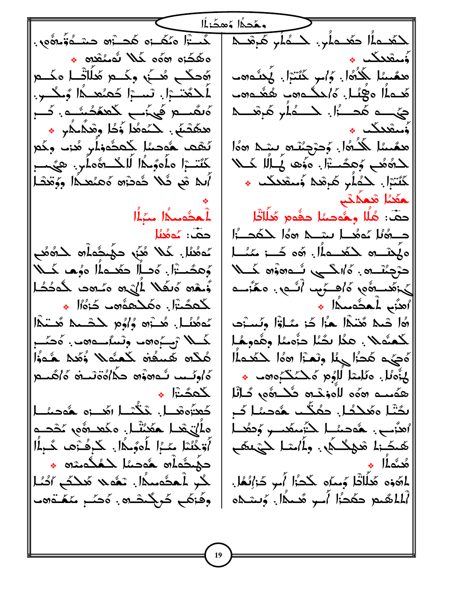وهّدما وَهدَا كَسِتْرَا وَكَصَـزَه هَدَــْرَه حَسْــةُوَّــوَّةَ بِهِ ۇسقىكك « ه هَڪُزه هُ٥٥ لَملا شُمْقُدِهِ ﴾ هُحكَـــ هُـــزُ، وكَـــع هَـلَاتْـــل مكَـــع ھكىئا كَدُّەْل. وَٱس كَنْتْرَا. كَعْشُەھ لَمَكْتَبْ إِ. تَسْبَرْا كَعِنْهَــٰٰهُا وُلِكْــٰرِ. كَعْدَاْ الْجَهْلْ. كَالْمْكْدەت ھُھُّدەت ەتقىسىم قىيتىپ كىمقۇشقى قىس حَيْ—هِ هُـدُّ. كَـــُمْلُو هُبِقْـــِمْ ههُصْبُ. كَنُوهُا وُدًا وقَدَمَكُم \* أنسقدكما » همَّىئا لَكُـ1ْه). وَحرَجِئْنَـ9 سِيَــ4 50\$ نَّسْعَد هُوَهِمَا كَعَثَوْفَارٍ مُنْ وِكُمْ كَتَتَـــْ مأەوَّــدًا لَلگـــەەملُر. ھێٮــــ لِمَاهُم جَمِعُتْ: ، هَوُه لَمَالًا كَمَلا أُىك شَى ثُلا خُونْزُه هُمنُعكَا وَوُتَعْصًا كَتَتْرًا. حَدُاُمٍ كَبِرْهُمْ وَسَعْدَكَتْ \* حَقَيْلُ مُحَكِّلَب حقّ: هُلَا وِحُوصِمًا حقُّوم مَحَلَّاثًا أحدَّمندا مَبْرَأَ حقّ: مُوهُلُ حــةُلَّا مُهْمَــا بِسْـــهِ هِهُا لِكَمْحَـــزَّا مَّەمُىُلْ. كَمْلا مُنَى حَجَّىجُمْلُرە حَدَمُومَ ەلمىشىدە كىكىسەلما. ھە كىز مىنىل وَهمَّـــٰٓ; }. هَــاَ | حمَّـــهاَ | هوُـمـا كَـــلا حَرْجِئْتَـــ9 . هَ/الكَـــي كَـــــ9\$ كَـــــلا نُمْهُ وَمَعَلاً لَمْ يَهْدَ مَـْـهِ حَـدَكَ لَمْدَخُـلَـ صةَهُم، وصنَّا سومٌ عادة وهڤُمسعة مِنْ أَاهَبَ لِمَحْمَدِهِ } لَّكْعَضُرَّا. وَهُكْعَفُوهَ خَزْهُ أَ هُا شَيْئًا هُوَا هُوَا شَيْئًا وَيُسْتَفَّ مُوهُمُا. هُــْرَه وُٱوُم كَــْــمِّـهِ هُــْمَدَّا كَمِلًا أَرْبَعُ:20ما ولْمُلْمُسْدَ0ما : كَاحَمُسْمِ لَّكَمِنُه لَا . هَذَا مَثَمَّا حَزَّمْنَا وِهُومِهَا مُكْلَّه هَىيفُة لَكْعِيْمَىْلا وُهَٰذَا حُفَوُّا أَمَيْهِ هَدُا لِهُمْ وَتَعَالَى الْمَصْرَاطِ الْمَحْدَمَةُ كْْاوِنْــىــ ئــْــەۋە ھەڭماڭقىنى كْاڭمـــــــــو لِخُوْمَا. وَتَامِدًا لَاِوُمْ وَكُنْكُرُوهِ \* لاهدُش \* هَمَمـــه ههُم للْمؤخَــه ضُـُـــهُم كَــأَلَٰا كَعتَوهْمِ لِمَحْتَمِ الْمَحْسَنَ هُوَجِسُمْ ىڭنْا ەھَككا. دەڭب ھەدىئا كې مكَّدٌ مِنْ مَكْتَبًا. مَكْعَدُوْهِ كَتَرَبَّكَ مَنْ مَنْ الْمَرْيَزَانُ أهذَّب . هُدَدَسُه لِأَرْسَعُنِسِ وُدَهُنَهِ ا هُمَدًا هُمُكُمُ. وأُلَمْه لَكِيمَه أَوْخُلْنَا مَنْ الْمَوْحَالِ كَرِفْتُو كَبِلَا حَجَمَةً أَنْ حُدَمَنَا لِلْحُكُمِنَةِ ﴾ مُحْشَالُ \* لْمَوْدِهِ هَٰلَالْتَا وَمِمَاهِ لِكَتَٰزَا أُمِرٍ كَزَالِهَا. لْحُرِ لْمَحْْمِيكُا. تْغُمْلا مَّحْكُم ٱضُلَا ٱلْمُلَّكُمُور حَكَّحَةُ! ٱمِن مُّصَدًّا. وَيَسْتَدَاهَ وفَأَكُم كُرِيكْتُـْدُهُ ﴾ أُدَسُّرِ مُنَّفَّدُهُ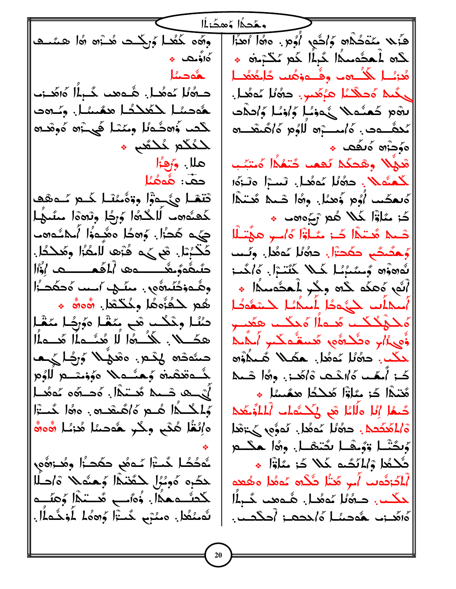| وهَجِدًا وَهِجَدَ أَلْمَ الْمَسْمَدِينَ                       |                                                                  |
|---------------------------------------------------------------|------------------------------------------------------------------|
| وِهُه لَحُعُما وُرِيْحُتْ هُنْزُه هُا هِسُتْ                  | كَنُما مُتَمَكِّلُه وَاحَّمِ أَوْمٍ. وَهَا أَهْبَا               |
| كَالُوْمِيكِ ﴾                                                | كَةَ الْمَحْمَسَمَا كَبِيًّا كُمْ كَكَبْتُ *                     |
| <b>ـمثَّ دَــُـُـُ</b>                                        | هُزْسًا لَلْاسُومِ وقْسووْهُك كَالْمُلْاط                        |
| دەُنُا مُەھُل. ھُـەھىي مُـْبِلَمَّا ەَاھُـنِي                 | لْمَمْ هُدَهْمَا هُزْهَيْبْ دَهُ الْمَكْمَرْ.                    |
| هُوصِمًا لِمُعَلِّدُا مِعْسَلٍ. وِمُـ20                       | ىۋە كىمئەللا ئەۋئىل كەلەئىل كەلھەت                               |
| لكعد وُهڪُمُل ومَنْدَل ڪَيِنَه هُوهُده                        | مُحَمَّـــوت وَأَمِيـــــرْه الرُوم وَأَصَّـــُتَّــــه          |
| لمَنْكُم خُلْقُدِ *                                           | $\ast$ ယ်ပင် တည်ရှိစ                                             |
| هلل وَرُهْزُا                                                 | هَهْلاً وهْحَكُمْ نُعْفَ خُتْعُهُا هُتَبَيْب                     |
| حقّ هُوهُمُا                                                  | لْكُمْتُمْلًا . حَمُّلًا مُّمَعُماً. تَسْتِرًا هَنْزَهَا         |
| تتقبل مأجوه ووذملقا لمحر سمعه                                 | ەُتْمَنْتَ أَوُمْ وُهْدًا. وَهُ أَشْتَمَا هُنْتُمَا              |
| لَحْقَمُوم الْكُلُّهُ أُوْرِجًا وِتَوَدَّا مِنْمَكِمَا        | کُ: مَنَاوَّا لَکُلا هُمْ رَجِّهِ وَ *                           |
| جَهْدَ هُجَرًا. وُهجًا مَعْيِدَوُّا أَحَدُّدُهُ مَنْ          | صْحَمْ مُحْتَمَّا كُـ: مُـَاوَّا هَاـــو هَهْتَـلَّا             |
| كَذّْبُرْا. هَي يُء فْنَها لِلْمُنَا وِهُدَدًا.               | وُهدُمُّ حكَمَّةً). حَوْمُ لَا مُوهُلُّ وَيُـب                   |
|                                                               | لُّەھۈھ ۇسئىبُىل كىلا كَتَتْبَرا. كَالْكُسَرَ                    |
| وهُـدوْحُلُـدەُّە، م ملّــها آســــا ەُحكَحــُّا              | أَنَّهِ هَجَكُمْ كُلُّهُ وِكُلُّو الْمُحَشَّمِيكَمَا *           |
| هُم حَـفُزُهِ مَا وِخُكْتُوا. ۞۞ ۞                            | أسماأس حيثما لمسكنا للمشامر                                      |
| حنُلًا وحْكُــٰ مْحِ بِمَغْـلِ هَوۡرَكِـل مَغْـلَـلَّا        | ەڭگۈڭگ مەملا ەڭگى ھەسىر                                          |
| هكَــــلا . للْكُــــوَٰا لَا مُحَــّـــمِلَا مُــــولَا      | أؤهباابر وضُلْبُهُم هُسَفْهكُس أَسْلَمْكُمْ                      |
| حَسَّدَتُهُ مَ يَعْتَمُوا بِهِ الْمَرْضَانِ مِنْ الْمَرْضَانِ | دكْت . دەُلا مُەھْل ھەر ھُتىدۇ، =                                |
| حُــوتَعْصَنَ وَحَــُـومَلا وَوَوْسْــع لِلْوُم               | كَنز أَمكَ كَالْكُتْبْ وَٱلْحَدْ؛ وَالْكُلْمَ صَبْحًا            |
| لَيْ هِ شَــمهُ مُسْتَمَّاً. هُـَــهُه مُهمُناً               | مُتَـٰٰهَا کُ; سُلَٰۃًا مُحَـٰٰکًا مَعُسُنًا *                   |
| كِمْلَكْتَا هُـُـعْ هُ/هُـْعْـِينَ وَهُا يُحْــَـْرَا         | كَنْتُمَا إِنَّا وَلَائِلْ هُوَ لَكُنْتُمَاتِ ٱلْمَلَوُّنَعُكُمْ |
| ەإِنُغًا هُنْدِ وِكُمْ هُوَصِيْلِ هُزْسًا رُّہُورُ            | هُ/اهْتُحُمْ). حَمُّلُ مُوهُدًا. تُووُّى جُتْرَهُا               |
|                                                               | وَىصَّلْ وَوُحْمًا بِثَنَهْـا وَوَا حَكْــم                      |
| هُدُّكُمْ خُتْرًا عُـدْي حَكْحَـزًا وِهُــزَهُمِ              | ئُكْمُلْ وْ/انْكُـد كْلا كَـ; عُلْقْلْ *                         |
| لحَكْرِهِ ۚ هُوبُمُل لِمُكْتَلَةَا وَحِشَهَا ۚ وَاصَلَا       | }لَكَرْثُوب أَس هُنْا ثُلْاه عُوها وعُعد                         |
| كُطْــْــْمَــْدَا. وْهُـــِي مُـــْمْدَا وُهَنِّــِـه        | لْمَكْتَ. حَاوُلًا مُوهُمَا. هُـوهَتْ شُبِلًا!                   |
| لُهَىنُعُل. دَمْنْهِي لَكُتْزَا وُ3% لِمَوْجَلُهِ لِمَالِ     | كَاهَن، هُوصِئْل كَالْمُحْصَرْ أُصِحْصٍ.                         |
|                                                               |                                                                  |
|                                                               |                                                                  |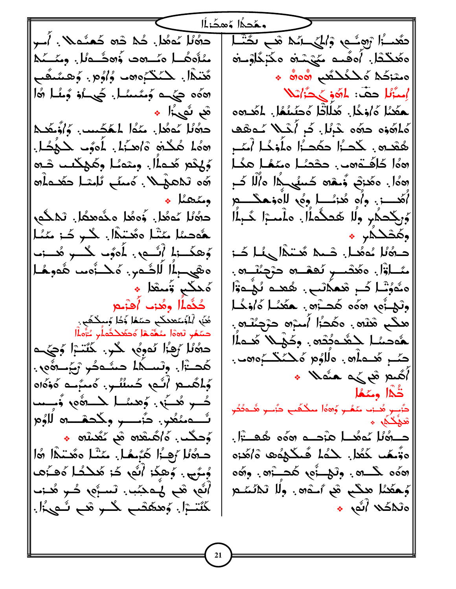| $\sum$ $\ket{\hat{a}}$ $\ket{\hat{a}}$ $\ket{\hat{a}}$ $\ket{\hat{a}}$                                                                                                                                                                                                                                              |                                                                                                      |
|---------------------------------------------------------------------------------------------------------------------------------------------------------------------------------------------------------------------------------------------------------------------------------------------------------------------|------------------------------------------------------------------------------------------------------|
| حَقُّلًا مُمَعَّلٍ. هُمْ دُهِ كَعِنُمْهَا . أَسِر                                                                                                                                                                                                                                                                   | لَّتُمْتُ الْمَكْلِمِينَ وَالْمَكْسَلَامَ مُنْ الْمُسْتَمَارِ                                        |
| مدُٱوكُـــا وَـُــــود وَوَهَــُــولَا. ومَـَـــَمُــا                                                                                                                                                                                                                                                              | ەھَكْتْتَا. آەھُىم مَّيْسْتُ مَكْبِكُلُوْسِيْنَ                                                      |
| مُتَنَكَّأَ. كَتُكْرُهِ هَا وُاوُمْ. وُهِسُبُفَب                                                                                                                                                                                                                                                                    | ەمتزكى كىلىكىگىم ھەھ *                                                                               |
| اھْ كَهْبَ وَمِنْسَلَہ كَے اُوْ وَمِنَا ہَا                                                                                                                                                                                                                                                                         | إمثال حقن لمفوج حثاثلا                                                                               |
| $\frac{1}{2}$ $\frac{1}{2}$ $\frac{1}{2}$ $\frac{1}{2}$ $\frac{1}{2}$ $\frac{1}{2}$ $\frac{1}{2}$ $\frac{1}{2}$ $\frac{1}{2}$ $\frac{1}{2}$ $\frac{1}{2}$ $\frac{1}{2}$ $\frac{1}{2}$ $\frac{1}{2}$ $\frac{1}{2}$ $\frac{1}{2}$ $\frac{1}{2}$ $\frac{1}{2}$ $\frac{1}{2}$ $\frac{1}{2}$ $\frac{1}{2}$ $\frac{1}{2}$ | هَكَنَا }اوْخَا. كَذَاتْا وَحَنَّىنُغَا. لِمَحْدِدِهِ                                                |
| دەُلا مُەھْل. مَدُا لمَكَسب. وَٱوْمَعْكُمْ                                                                                                                                                                                                                                                                          | كَاهُوْهِ حَيَّهِ خَرْبًا. كَرِ أَخْبَلا عُـهِـقَف                                                   |
| هەُ لەڭلە ۋاھىزا. لمەرَّى كىركا.                                                                                                                                                                                                                                                                                    | ِهُعْدِهِ . كَحِبُّا حَمْحِبًا مِلَوْهُا أَمْرِ                                                      |
| وُلِمْع مُدءاً!. وعثما الله وكُمِكْت شَد                                                                                                                                                                                                                                                                            | ادَّهُ الْمُلَّصَّةِ مِنْ الْمُسَلَّمَةُ الْمَكْلُمُلَّةُ الْمَكْلُمُلَّةُ الْمَكْلُمُلَّةُ الْمَكْل |
| ھُہ <i>تَحْمَحُولاً : هُمنَّے تُلَّسْلُ حَعْـُماه</i>                                                                                                                                                                                                                                                               | oهُ). دَهُدْتُ ذَهُدُهُ كَسَيُكُمْ 1⁄2 كَبِي                                                         |
| ومتحل والمحاشرة المستوفين                                                                                                                                                                                                                                                                                           |                                                                                                      |
| حەُنُا مُەھُل. وُەھُل مِنْفَعِيْهَا. تَمْلُغُم                                                                                                                                                                                                                                                                      | وُرِيْحَجَمِ وِلا هُعجْجَاًا. مامسْرًا خُبِيَاًا                                                     |
| هُوصِمُا مَنْتُمَا وَهُتَمَالَ. كُلِّي كُـز مَمْتُمَا                                                                                                                                                                                                                                                               | ∥وگڅک∆ډ ∻                                                                                            |
| وُهكَـــزا إِنَّـــهر. المُوَّب لَكْــــرِ هُــــزما                                                                                                                                                                                                                                                                | حــهُمُا مُــهُمـــاً. حَـــم مَّـــتمَّــاللهُ حَـــز                                               |
| ەھْيىبەا لاشەر. ەَھىزەمە ھەرىما                                                                                                                                                                                                                                                                                     | مَـُــاَوْلَ. ەھُتَّىـــو نُـُـْھَـــە حَرْجَىُنْــِـه.                                              |
| ەْككىي قْمىقدا چ                                                                                                                                                                                                                                                                                                    | ەڭۇشا كىر شمكاتىب. ھُىدە ئۈےۋا                                                                       |
| كُثْمَلَا ومُحزب أُكْزَمِ                                                                                                                                                                                                                                                                                           | وِلَهِـنُومِ هَوَهِ هَدَ:هِ . هَعَنـُـا وَاوْخُـا                                                    |
| هُنَّهِ ٱلْمُتَعَمَّلَـٰتِ حَسَّمًا ذُكَا وَسِكْـكَـٰبِ                                                                                                                                                                                                                                                             | هلگ هُنُه. هَمُحزًّا آمرْه حرْجِنُدُه.                                                               |
| حَسَّمُرِ ثَ9ةًا عُمَّقَهَا هُحَمَّدْخُواُرِ غُزَّهَا<br>دەُلا رُهاْ لَەوە كُر. ݣْلْتَبْرا وَكِي                                                                                                                                                                                                                    | هُدَمسُا لِحَمْدَدُودِ. وكَهْلا هُدهاا                                                               |
| كُحسْرًا. وتسلِّلُه حسَّمصُر رَجِّسوهُم.                                                                                                                                                                                                                                                                            | كَسْرِ هُــدلم». دللوُم مُكْتَكَبُّدُوهـ.                                                            |
| وَلِمُسَمِرَ أَلَيْهِ كَسُلُسٍ. كَمَيْسِتْ كَوْكَاه                                                                                                                                                                                                                                                                 | • للمشعر صرْبة بصةْ\                                                                                 |
| كُسِرٍ هُــُـزٌو . وُهشــا كَــــوهُوم وُسِــبت                                                                                                                                                                                                                                                                     | ذُكر مِنْمُ                                                                                          |
| ئــــــمئمُدر. حَزَـــــــر وكَـحمَـــــــرَّ الرُم                                                                                                                                                                                                                                                                 | دَّبِيرِ هُــٰۃِٮ مَمَّـٰـٰٓ وَاہ اَ مَكْـٰکَبِ دَّنَــٰہِ هُـٰـٰدِکُمْہِ<br>ۿۄٚڴؼؘ                  |
| وُحكْب. هُ/مُتقَدِه مْعِ كَقْتِلُه *                                                                                                                                                                                                                                                                                | حَسَبُهُ لا مُوهَدٍ مَوْجَدٍ مِي وَمِ مَعْدِ يَبْلَى                                                 |
| حَدُّمُا رَحِـُّا هُبُـمُـا. عَنْـا معُـتَـمَّا هُا                                                                                                                                                                                                                                                                 | ەۋْمَف كَتُعَلّ. نْمُمْ قُبْلَكْيْتُو ۋَارْتَدَو                                                     |
| وُسَّي. وَهِكَا أَنَّهِ كَا هُكْشًا هُصَّاف                                                                                                                                                                                                                                                                         |                                                                                                      |
| آئُم کُلّ لِمَحْبُب. تَسْزُمِهِ کُلّ کُلّت                                                                                                                                                                                                                                                                          | وُحِكْمُا هِكُمْ هُو ٱحْدَهِ. وَلَا تَكْتُمُكُمْ                                                     |
| كَتُسْرًا. وُهِكْتُبْ كُبْرِ هُبْ شُمْرَةً!.                                                                                                                                                                                                                                                                        | ∥ەتككلا /ْئُو *                                                                                      |
|                                                                                                                                                                                                                                                                                                                     |                                                                                                      |
|                                                                                                                                                                                                                                                                                                                     |                                                                                                      |
| 21                                                                                                                                                                                                                                                                                                                  |                                                                                                      |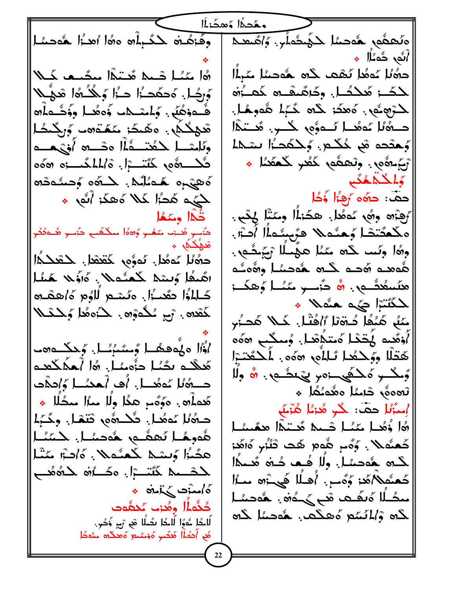وهّدما وَهدَا مَتَعَفَّعٍ هُوَجِبًا حَكَمِيدًا وَأَمَّعِيدًا ۖ وَفَرَعُتُ حَكَيْلُهِ وَهَٰهَا ٱهْدَا هُوَجِبًا ا آىگە جُمْلَال ھ دەُلا ئەھْدا ئىھمى كە ھەدىئا مىرلما هُا عَمُـا صْـمِ مُـتَمَّا مِكْتِ كَـلا لِكَــٰ; هَٰلِكُــا). وِكَاهُـدْهِ مَى كَعَــزُه وَرِكَـا. هَحكَحــزًا حــزًا وَـحُكُــرُه! شَوْــلا لِحْرْبِهِ ثُمِنَ ذَرٍّ مِنْ مَجْلِمْ هُمُوهَا. فُـدوٰهُهُ. وُلمسْــدْ وُدهُــا وِوُكُــداْ1ه حَــِهُمُا مُعَمَّــا نُــعوُّى كُـــرٍ. مُّــتَمَّا تَعْمِكُمُو. هَمُمَّةَ مُعَمَّةَ مِنَّةَ وَإِجْمَعُـا وَتَامِنَا لِلْحَمَّنْتِ وَٱلْمُؤْلَّا وَشَيْحَتَ أَوْيَ هُــَــو وُهِتَدِهِ شَيْ خُكْلُو. وُحْكُمْتُوا بِشَكْلَا تَبَرْءَهُمْ. وتَعَفَّمْ لَمُعُر لَكْمَعُمْلُ \* صَّلَـــوَّى كَتَنَـــْزَا. وْالْمَلْمُــــزە وە َە كالحكمكب هُ هِيْمِ هُـدُلْمُ جَـدَهُ هُ وَحَسْدَدُه حقّ: حوّه رُهِّ أُوْلَمْ لَّكَهُمْ هُدًٰا لَمَلاً هُهْدًا أَنُّهَا ﴾ إِنَّ وَهُمْ يَمْعُلُ: هَجَّنْهُ الْمِمْثَلِ لَهِمْ، ذهل وحمال دَّبِيرِ هُــٰۃِٮ مَمْـٰـٰزِ وَاہءَ مَعْـٰکَـٰبِ دَّۂـٰـٰزِ هُـٰـٰدَکُنُ مكْعَنْتْدَا وَحِنُمْكَ فَبِي الْمَالَ آمَرْنَ وهُا وِيُس كُلُّه مَمُمَّا هِهْمِلَا رْيَجِيفُو. دەُنا مُەھُا. نُەۋُە كَقْفَا. كَعْكَدَا هُوهد هُجد گُله هُوجسُا وِهُوشُو اكْمَعُلْ وَسَنَدْ لَكُمْتُمَلًّا ۚ وَالْأَيْلَا لَحُمْلُهِ ھلُىئۇن فى تَاسىر مَنْسَا وَھكَ: كَـالمُوْا حَعْبُ: 5 مَسْعِرِ لْلوُمِ 16 هَـصْـ المحتَم مرح ابتثقت كَفْلُوهِ . أَجْ مُكْمَوْرُهِ . كَنُوهُا وَكَمْلًا مَنُى كَنُعُلِ حُـقَةَلِ ٱ/قُتْلِ. كَــلا كَحــُّر أُوْثَده لَهَنْدَا هُنْدَٰوُهَا. وُسَكِّعِ 200 أَوَّالَ وَيُوْهَدُ وَسَتَبَيَّدُ ﴾. وَحَكَّدُوها هَٰتَاا وَوُحِكُما تَلِلُوم 200 . لَمَحَقَّبَ مَحِكْد بِكَيَا دَزْوِيهَا. هَا أَحِكَمَكُعِد وَمِكْمٍ مَكْفَى وَمَنْ يَمْشَى وَالْمَرْضَى وَالْمَرْضَى وَالْمَرْضَى حــــةُلا عُمَعُـــا. أَهل أَـعَـمُـــا وَإِحدْت أَتْرَەە بْ كَرْسُلْ وَهُوَيُكُلْ ﴾ هُدماه . دَوُمُبِ هَذَا وِلَا سَارَا سَكَلَا \* ||إستُّال حقَّ: كُمْ هُنْمًا هُنْمًى | حِبُّهُ لَا مُحَمَّلٍ. ثَكْتُوَى ثَنَّهْلٍ. وَكَهُل هُا ذُهُــا عَنْــا دَـــم هُــتمْا همُسْـا هُومُا نُهمُّــهِ هُوصُــاً. كَسَّـُـا كَعِنْهِ لَا . وُهُم هُوم هُت قَلْبُ هَاهُد هَمُنْ أَوْسِيْكُمْ يَكْمِشُوكُمْ . كَارْتْزَا عَتْبْلُ كَـــرَه ــمُوجِبِيّاً. وَلَا قُــم جُــرَة قَصِيدًا لحصَّمه كُتُسْرًا. هكسانه لهةُهُب كَعِنُهِلاَاهُدِ وَدَّى ِ. اُهِلًا هَيْ آهِ مِمْلًا \* متمائز صنّماه مَسْتُمْلُمْ مِنْ فَسَمِينَ مِنْ مَسْتَمْلِكُمْ لِلْمُسْمَدِينَ مِنْ مَسْتَمْرِ حُثَّمَلَ اوهُن، كَحْقُوت لَّاهِ وْالْمُنْعَمْ هُھِكُمْ. هُوَصِمَا لِكُمْهِ لَٰالظًا غَوُا لَٰالظًا نَصَلًا هَى ۚ رَبِي وَٰحُوِ. كُمْ أَئِمَلَّا كُنَّصُرْ كَوْسُتُمْ كَانْتَكُلُّهُ مِنْدَكُمْ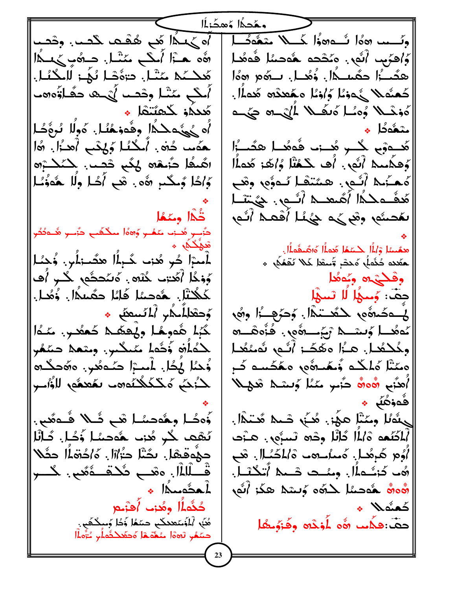وهَّجِدًا وَهِجَزَأَ أَه كَعِدًا مَعِ هُقْمَ لَآتِ، وِتْتِب وُاهِجُبِ أَنَّهِ . مَحْده هُوَدِمُا فُوهُدا رةُهِ حَسَرًا أَسْكَبِ مَثْنَا. حَسَوُبِ جَمْعَا مَحْسَكُمْ مَتْبًا. دَوْقْسًا نُهُــز لْلْحُكْتَا. هِتَمِيزًا حِمَّىبِيدًا. وُهُبَيلَ بِيهُمْ هِوَا أَمْكِي مَنْتَا وِحْصَبَ أَيْنَ هَدَاؤُهِ وَمَاءَ كَعِنُه لِلْكَمِنْ أَوْمُلْ مِكْتِدَةٍ مَّدَاً . مُعدَّو لَاهتَنقا \* صَرْحَ مَسَرًا لَهُ الْمُعَامَ الْمُهْتَمَا عَهَيْهِمْ أَه يُهْمِكُمُ الْمُعْمَوْهُمُلْ. هُولًا يُوهُكُمْ متمدَّد \* هُــِهِ مِـْـــرِ هُـــزم هُـهمُـــا همُــــزُا هَمَّسَ دُهَ. أَمْكُنُا وَلِحْبِ أَهْدُا. هَا وُهِكُمِيكُمْ أَنَّقِي. أَهِي كُمُقَلَّ وُاهَةٍ هَذَا ا امُعُا هُنهُ لَهُ عَلَى الْمَعْدِ بِمُكَمَّرُهِ وُاكُلُّ وُحكُم هُءٍ. هُم أَكُلُّ وَلَا حَقَوْنُـلُّ هُمَّنَى أَلْفٍ وَهَيْتَهَا نُـوَوُّى وَهْبِ لَحَقَــهِـدَــدَا اُمُــعـدة الْمَـــمِــة مَــتَبَـــا خُمْل وسُمُل رصاْا كمصفاْ المرْيح صرْبِحْهِ رصْصف دَّبِيرِ هُــٰٓت مَعْــٰو وَاهءَا مَـحْـُفَـٰبِ دَّنَــو هُــٰدَكُو همُسْدُ وَإِلَٰلَا حَسَمًا هُمِلًا وَاهُبِقُولًا. لْمَنْزَا حُرِ هُٰذِ ۖ كَـٰبِلًا هِكَــٰ;لَمٰرٍ. وُجِـُـٰا حَمَده خُذُهُ) هُدهُ, تَسْعَدْ كَلا تَقْفَكُ ﴾ وَوْهُا أَهُنزَ هُدُهَ . هَ نَصْحَتُمِ ۚ كُلُّـرٍ أَف وقليى ويُممُعل حِمّة: وُسِيْرًا لَا تَسِيْرًا ﻜَﮕْﺘْﻠُ. ﻫُﻪﺣﯩﻨَﺎ ﻓَﻠْﻨَﺎ ﺣﻤُﯩﺪًﺍ. ؤُﻣُﺪًا. أَوْحَقَالِمُلْكُمِ ٱلْمُنْسَخَلَقِ ﴾ رَهُ، انْسُوْمَ، الْمُسْتَمَّا، وَهُمْ الْمُسْتَمَّارِ لَّبُهْ هُوهُا وهُعَهْدُ كَعفُر. مَخْا مَّەھُـــا وَىــْـــــمْ رْجَ ــــوْهِ . فُزْەھْـــە وِخُلِّعُداً. هـُزَّا هِ هَڪَـٰز أَنَّـهِ شُمْعُدا لْحُمَلَهُ وَّحُمَّا مُنْكُس، وبثعد حَسَّعُر وُّحْلًا لِكَلِّ. لَمِيرًا صَّـومُو. وَهُصِكُـوه مئتْاً كَالْمَدْ وُنْعُمْتُوْهِ وَعُصَّمَدْ كُمْ لْمُزْبَدِّ مُكْلُكْتُوهِ بِمُعْمَّعٍ لِلْؤُسِرِ أَهْنَى هُءَهُ حَنِّبٍ مَمْاً وَبِسْطٍ هُدِيلاً فُەۏۿؙڵٜ وُهكُمْ وِهُوَجِسًا هَي شَيْلًا ۖ فَـوَهُيم. حِلْقَا وَسَتَنَا هَذَا فَضَرَ شَمْعَ الْمَشْرِ الْمَشْرِ نُهْعب لْحُرِ هُذِب حُدُحِسًا ذُخُا. كَالْلَ أَلْمَكُمُ ١٤/٥ كَالْلُّ وَحْدَ تَسْزُونَ. هَنْت حجْوقهْل. بِحَتْلِ حَبُّالٌ. وَاحْقِفْلُ حَفْلًا أَوُم كَرِمُها. كَسْأَسْمَتْ ذَالْمُشَالَ. شَيْ هُب كُنْسُملًا. ومُنْتَ شَبْطَ أَتْكُنْتَنَا. قَصْلَالَمَا. ەقىپ ئَكْتَفْــدَّمَّى . ݣْــــو رَّهُ هُوصْلا لِهُ وَسَدْ هِكَّرَ أَنَّهُ \* Kusaal كُثْمَلًا ومُدن أُهْنُوم Leiod هُنَّهِ ٱلْمُتَعَلِّكَ حَسَّمًا مُخَا وَسِكْفَةٍ. حقَّ:قلَّاسا هُا لِمُذْتِها وِقَزَوْمَعُل حَسَّمُرِ ثَ96ا مُنْعَّمَا وَحَكَدْثَهِ أَرْبَعَا الْمُؤْمَّاتِ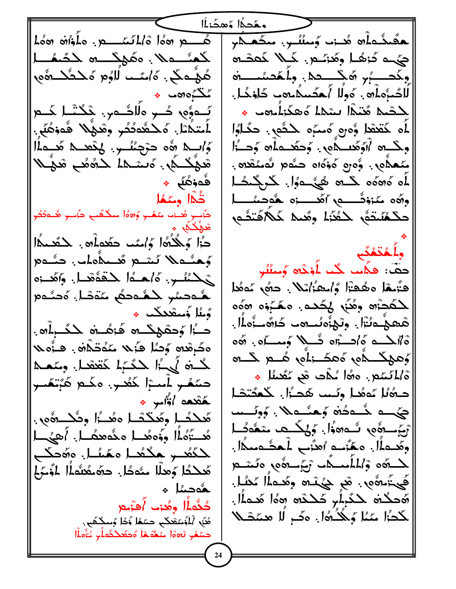وهَّجِدًا وَهِجَزَأَ  $\frac{1}{10}$ တံ တံ $\frac{1}{10}$   $\frac{1}{10}$   $\frac{1}{10}$   $\frac{1}{10}$   $\frac{1}{10}$ ھقَىدُّھلُاھ ھُـ;ٮ وۡمئلُــُـوِ. ممحَّـھــكَمِـر كْمِنْـــە\\. ەكمىكـــــە كــَـَـمُـــا دَيْتُ دَاهُمَا وَهُنْسُو. كَمَلا كَمْشُوه هُوْ؎ڲۦهُ/مُـَـــا لَلوُم هَكْتُكْــوُهِ ﴾ وكمكسئ ومكسده ولمكصلب لَلصُّوْمِلُونَ. كَوِلَا أَبْعَضْبِكْنِيهِمْ كَاوْجُا. ئگ ٥٥٥ت تُـدوُّى دُـــو ەلَٰاشُــەر. بِنْكُنْـا خَـــم لحشم مُتمَّال سماء مُعكَّناً ومن \* لَمْتَدَاثَلِ. كَمْحَقّْدَتُصُو وقَتْنِيْلًا ۖ قَدَوْتُمَكِّي. لَمْ لَمُتَعَمَّدَا وُورِهِ وَسَرِّهِ كَلَّمَهِ . حَكَـاوُا وَّاسِـدْ هُ٥ حرْجِئْسُـر. لِكَعــدْ هَــِماَا وِكْتُ أَآوُهُنَا وَوَى وَحَقَاءَ وَحَيْثَ وَالَّذِي شۇڭگە. كەستىكلىك ئەگى قىۋىلا بِمُعَمَّلُومٍ. وُورِهِ وَوَوَاه حَشَمَ شَمْعُونَ فُەۆكُلُم \* لَمْهِ هُوَهُو گُلُسُومُ ﴾. كُمْ جُمْدًا خُلال وحَمْل دَّبِــرِ هُـــزـــ مَعْــرِ وَهوَا مـحُـكَب دَّبــرِ هُـــوكُـر<br>هَدَّكُـكُـه م حكْمُنْتَبْ حْقُدُا وِمُعِيا غَلاَقْتَدُور دُّا وَلِحُدُّهُا وَاسْبَ حَعَداً هِ. حَعْدَلًا والمُخْمُكُ وَهنُــه لا نُـسْــم مُـــمهْملت و حَــُــم حقَّ: فَكِّفَ لَكُمْ لَمُؤْدُنَ وَمِثْلُو جَكْنُكِ وَالْمُسْمَا كَفْفُوْسَا وَاهْدَهُ عَتْمِهَا وَهُدْتَا وُإِسْعَةُ إِسْلاً . دَوَّى مُومُدا هُـهجمُـهِ لِحَـهُـهجمُ مَنْهَـْـلَ وَجَـنُـهِم لِلْكُحِبْرَهِ وِهُنَىٰ لِمُكْدِهِ. مِمْبُرْهِ 200 ۇملا ۈمىقىنگ » هُهِجْـهُنْزَا . وِنْجْزُهْنُــهِــهِ كَاهُـــزُهِـلَمْ . حسُرًا وُحِثْمِيْكُسِهِ فَزِعُسِفَ حَكَسِيلًاهِ . ةأالمسم هُاصباًه شَبْلاً وَمساه. هَه هَجْهُدِهِ وَصَلَّ هَذِيهِ مَعُهُ تَكْلُفُ هِ عَنَّهُ مَهْ وُهوك في مُهكنها مُ عُسم كَسر لكسفه إيدائكم المركي فتك هُ الْمُنَعِرِ. وَهُمْ يُكْتَ هُوَ يُعْمِلُهُ ﴾ حمَّعُــرِ الْعَــرْ! كَعُنــرٍ. مكــع كَبْتَعْـــر دهُلا مُوهُدا وِنُـب هُدُرَا. كُمُّتَحْدا ـَمَتَعْمَدُ الْأَاسِ \* دَيْتِ حُــدَدُهُ وَحَشَـدْلًا . وَوَتَـــب مَكْتُــا ومَكْتْـَــا همْــزًا وتُكْــرَةُى. رْجَ ِــرْهُم، نُــدْهوُّا. وَلِكَــعا مْعْدَكْــا هُـــَّزُهُاْ وَوَّەهُـــا مِنْهِعِمُــا. أَهِيُــا وقَصْدَاًا. مَغَّنُوبُ الْعَنُوبُ الْمُحَدِّدِمِلَاً. للكفب مكفا ممَسْل موَمَك لمستَهْهِ وَٱلْمُسْلَمَاتِ رَجِّسَةُوا وَمُسْتَمْرِ هَٰذُكُمْ وَهٰلًا مِثَوَكًا. دَهَٰىغُثُمَاً الْوُجُلِّ فَيْ تَرْمَثُمْ لِلْمَصْغَ مِسْرَحْدٍ مِنْ مِرْهُمْ تَرْمِيْ هُ مِنْ مِنْ الْمُسْتَمَرِ هُحكُنْه حَكَبِلُر حُحْدُه هِهُا هُـماًا. حُثُماً وهُن أُفْنَم كَحَرًّا مِّئْا وَكَذَهَا. 5َضْرِ لَا هِمْصْلًا هُنَٰهٖ ٱلۡاَوۡمَـۡقَدَلَٰٓبِ حَمَّعُلُ وَۡحُل وَۡمَدِكَٰٓهَٰٓىِ ۚ. حَمَّعُو ثَ96ا عُمَّةَهَا وَحَمَّلَكُمْ وُ الْأَوْمَارِ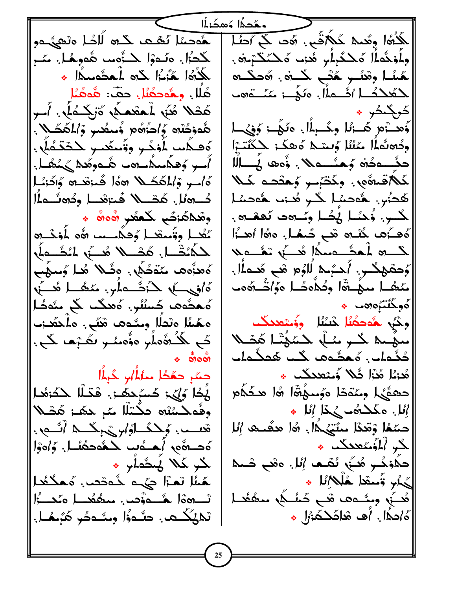وهَّجِدًا وَهِجَزَاً لَمَدُّهُا وِهُمم خَلاَقُمٍ. هُد كَمْ آَصُلَ هُوصنُا نُهْد كُلُّه الْأَخَا وتَعِيُّدو لْكَتُزَا. وَيُبْوَرُا لِكُنُّومِيا هُوَهُمَا. مَيْسِ وِلَمْحُمْلًا مَكْثَرِلَمٍ هُنِ مَكْنَكْثِرِ فِي. لْحَدُّهُا هُنُوْا كُلُّهُ الْمُحَْمَسَمَا \* هَسُا وقسُرِ هَيْجِ كُنْهِ. هُصْلُتُه هُلَا. وهُوجهُمْل. حقَّ: هُوهُمْا للكَلادُ أَنُّــه أَلَ. هَرَهُـــز مَنَّـــة وه كَشْلًا هُنَّى لْمُعْتَمَلُمْ ةَرْكَتْمَلَّى. أَسو كَرېڭىگو ھ ذَهِبْوْمٍ كَـزُلا وِكْـرِلَمْلِ. هَنُهُــز وُفِيُــا هُموْحُلُه وُاحْوُهُمْ وُسِعُسٍ وُٱلْمُحَـٰلا . وِدُهِنُما الْمَنْنَا وَبِيْدِ هُجِكَ; حَكَيْتِهِ ا ەكمىس لمُوْجُىر وتُسكىسر للىشقىگىلى. أسو وُهكَسكَسكَ هُـهوهَدَ كَـمُعْمَلِ. حَيَّـــوَدُو وَحَسَّـــولا . وُوها في اللَّهِ كَاسِبِ وْكُلْكُكُمْ ۞ أَهُمْ هُدَهْدِ وَاكْتِسًا } كَلاَقْتُمُوم. وَكُذّْبِبٍ وَهْتَصَدْ كَمَلًا هُدُّسٍ. هُوصيُل كُلسٍ هُدنٍ هُوصيُل وثعداكَ بنكم الله معالم الله من لكسر. وُحمُساً هُصًا ومُسْهَد نُعْقَسُهِ. ەَھەَمَا مُنْسِه مْعِ مُسْمَا. وَهَا ٱهْدُا كُعْصَا وِتُسْعْصَا وُهِكْسِسَة وَّةَ الْمَحْسُرَة كم الْمَدْ وَسَمَٰلِ مُنْ يَمْسُولِهِ لحَمُنُتْـا. هَصْــلا هُـــنّ انْحُــملّ وَحقهكس، أَحبَّك الوُم هَي هُـماً!. ەَھزُەھ مَفَكُمْ). وَثَــٰلا مُـٰـا وَسَهُب مَعْصًا مِيهَا وَكُلُّوصًا وَوَاضُـهُوب ەڭ بېلەشتۇر. مەكتىن ئىشكە ەُھھُەم مُسْلُر. ەْھگى كَى مەمُدا أەوڭتئې‰ \* وكْيْ هُدَدْهُمُ كَسُمُا وَوَعْدَدْكَتْ ەھْىلا ەتتلار ومئىم ھەئچ. ەلمىگىزما سَهْنِهِ حُبِ شَلْ حَسَّوُتُنَا مَصْلًا كَے لِگُلُاهُملُو ەۋْمئىو لگىزىما كُلى. كْتْملْب. ەَھشُەھ كْب ھَعْشُمْك ့ ၈၀၈ هُدِيُا هُنْزَا شَلا وُسْعِدِكُما ﴾ حِسَّرِ حَمَّحًا مِثَالَةٍ جُزِيَّا لِحُا وَإِيّ: كَسَبْدهَـ:. فَذَلًا حَكَّرْهُـا حھفُےؓ ومنفشا ہوُمموُّۃًا ہُا ھـکَھُھ وفُمكْسُدُه مكْتَلًا مَّرِ حَهَّةٍ مُصْلًا إِمَا. هَكُكْمُو يُكُمْ إِمَا ﴾ حَسَّمُا وْتَعْدَا مِئْتَيْݣَا. %ا مَكْسِفْ إِبْل هْلِـــــــــــ وُحِكْـــاوُاسِيْ وَكَــــــــمْ أَنْــــــــى . كُر ٱلْمُتَعْطِكَ ﴾ كَحَـــوكَمِ أَحَـــدُب لَــحَقَحَصُلًا. وَأَوْوَا لَّٰٓدِ خَلَا يُحَشَّمُو \* حكَوْمُـرِ هُـَنِّي نُصْـم إِنَّا. هِ صَــح صَــما لَّعْمُلْ ثُمَنْ الْمَحْمَدِينَ مَرْجَا انْمَعْ الْمُعْمَدِينَ مِنْ الْمُعَامَلِينَ مِنْ الْمُعَامَ لِّكِمْرٍ وَمُعَظَ هُلَكُمْ \* هُنِّي ومِنْـــهِ هَـــع كَــلُــكِي معهُكــا َهُ/حِكَمَا. )ُف شَاكَكْتُمْ ُ إِلَيْهِ تْكْلِكْــم. حنَّــهُوا ومشّــهصُر كَبَّمْــهــا.